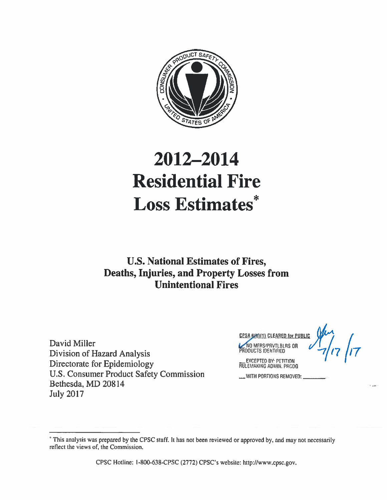

# 2012-2014 **Residential Fire Loss Estimates\***

## **U.S. National Estimates of Fires, Deaths, Injuries, and Property Losses from Unintentional Fires**

David Miller **Division of Hazard Analysis** Directorate for Epidemiology U.S. Consumer Product Safety Commission Bethesda, MD 20814 **July 2017** 

 $7/7$ **CPSA 640111 CLEARED for PUBLI** NO MERS/PRVTLBLRS OR

**EXCEPTED BY: PETITION** RULEMAKING ADMIN. PRCDG

\_\_ WITH PORTIONS REMOVED; \_

CPSC Hotline: 1-800-638-CPSC (2772) CPSC's website: http://www.cpsc.gov.

This analysis was prepared by the CPSC staff. It has not been reviewed or approved by, and may not necessarily reflect the views of, the Commission.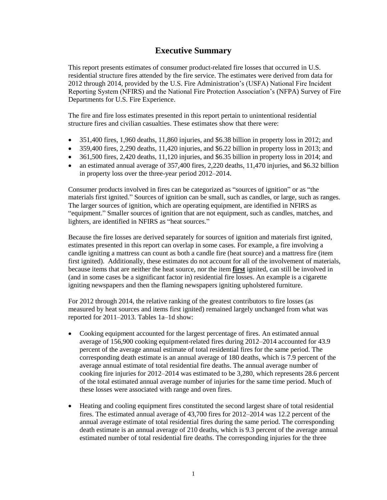## **Executive Summary**

This report presents estimates of consumer product-related fire losses that occurred in U.S. residential structure fires attended by the fire service. The estimates were derived from data for 2012 through 2014, provided by the U.S. Fire Administration's (USFA) National Fire Incident Reporting System (NFIRS) and the National Fire Protection Association's (NFPA) Survey of Fire Departments for U.S. Fire Experience.

The fire and fire loss estimates presented in this report pertain to unintentional residential structure fires and civilian casualties. These estimates show that there were:

- 351,400 fires, 1,960 deaths, 11,860 injuries, and \$6.38 billion in property loss in 2012; and
- $\bullet$  359,400 fires, 2,290 deaths, 11,420 injuries, and \$6.22 billion in property loss in 2013; and
- $\bullet$  361,500 fires, 2,420 deaths, 11,120 injuries, and \$6.35 billion in property loss in 2014; and
- an estimated annual average of 357,400 fires, 2,220 deaths, 11,470 injuries, and \$6.32 billion in property loss over the three-year period 2012–2014.

Consumer products involved in fires can be categorized as "sources of ignition" or as "the materials first ignited." Sources of ignition can be small, such as candles, or large, such as ranges. The larger sources of ignition, which are operating equipment, are identified in NFIRS as "equipment." Smaller sources of ignition that are not equipment, such as candles, matches, and lighters, are identified in NFIRS as "heat sources."

Because the fire losses are derived separately for sources of ignition and materials first ignited, estimates presented in this report can overlap in some cases. For example, a fire involving a candle igniting a mattress can count as both a candle fire (heat source) and a mattress fire (item first ignited). Additionally, these estimates do not account for all of the involvement of materials, because items that are neither the heat source, nor the item **first** ignited, can still be involved in (and in some cases be a significant factor in) residential fire losses. An example is a cigarette igniting newspapers and then the flaming newspapers igniting upholstered furniture.

For 2012 through 2014, the relative ranking of the greatest contributors to fire losses (as measured by heat sources and items first ignited) remained largely unchanged from what was reported for 2011–2013. Tables 1a–1d show:

- Cooking equipment accounted for the largest percentage of fires. An estimated annual average of 156,900 cooking equipment-related fires during 2012–2014 accounted for 43.9 percent of the average annual estimate of total residential fires for the same period. The corresponding death estimate is an annual average of 180 deaths, which is 7.9 percent of the average annual estimate of total residential fire deaths. The annual average number of cooking fire injuries for 2012–2014 was estimated to be 3,280, which represents 28.6 percent of the total estimated annual average number of injuries for the same time period. Much of these losses were associated with range and oven fires.
- Heating and cooling equipment fires constituted the second largest share of total residential fires. The estimated annual average of 43,700 fires for 2012–2014 was 12.2 percent of the annual average estimate of total residential fires during the same period. The corresponding death estimate is an annual average of 210 deaths, which is 9.3 percent of the average annual estimated number of total residential fire deaths. The corresponding injuries for the three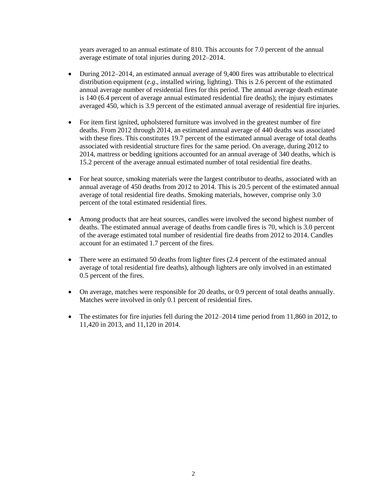years averaged to an annual estimate of 810. This accounts for 7.0 percent of the annual average estimate of total injuries during 2012–2014.

- During 2012–2014, an estimated annual average of 9,400 fires was attributable to electrical distribution equipment (*e.g*., installed wiring, lighting). This is 2.6 percent of the estimated annual average number of residential fires for this period. The annual average death estimate is 140 (6.4 percent of average annual estimated residential fire deaths); the injury estimates averaged 450, which is 3.9 percent of the estimated annual average of residential fire injuries.
- For item first ignited, upholstered furniture was involved in the greatest number of fire deaths. From 2012 through 2014, an estimated annual average of 440 deaths was associated with these fires. This constitutes 19.7 percent of the estimated annual average of total deaths associated with residential structure fires for the same period. On average, during 2012 to 2014, mattress or bedding ignitions accounted for an annual average of 340 deaths, which is 15.2 percent of the average annual estimated number of total residential fire deaths.
- For heat source, smoking materials were the largest contributor to deaths, associated with an annual average of 450 deaths from 2012 to 2014. This is 20.5 percent of the estimated annual average of total residential fire deaths. Smoking materials, however, comprise only 3.0 percent of the total estimated residential fires.
- Among products that are heat sources, candles were involved the second highest number of deaths. The estimated annual average of deaths from candle fires is 70, which is 3.0 percent of the average estimated total number of residential fire deaths from 2012 to 2014. Candles account for an estimated 1.7 percent of the fires.
- There were an estimated 50 deaths from lighter fires (2.4 percent of the estimated annual average of total residential fire deaths), although lighters are only involved in an estimated 0.5 percent of the fires.
- On average, matches were responsible for 20 deaths, or 0.9 percent of total deaths annually. Matches were involved in only 0.1 percent of residential fires.
- The estimates for fire injuries fell during the  $2012-2014$  time period from 11,860 in 2012, to 11,420 in 2013, and 11,120 in 2014.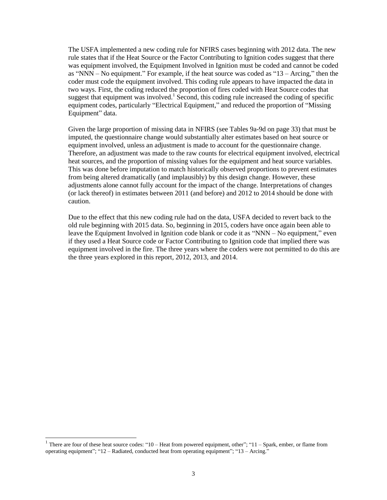The USFA implemented a new coding rule for NFIRS cases beginning with 2012 data. The new rule states that if the Heat Source or the Factor Contributing to Ignition codes suggest that there was equipment involved, the Equipment Involved in Ignition must be coded and cannot be coded as "NNN – No equipment." For example, if the heat source was coded as "13 – Arcing," then the coder must code the equipment involved. This coding rule appears to have impacted the data in two ways. First, the coding reduced the proportion of fires coded with Heat Source codes that suggest that equipment was involved.<sup>1</sup> Second, this coding rule increased the coding of specific equipment codes, particularly "Electrical Equipment," and reduced the proportion of "Missing Equipment" data.

Given the large proportion of missing data in NFIRS (see Tables 9a-9d on page 33) that must be imputed, the questionnaire change would substantially alter estimates based on heat source or equipment involved, unless an adjustment is made to account for the questionnaire change. Therefore, an adjustment was made to the raw counts for electrical equipment involved, electrical heat sources, and the proportion of missing values for the equipment and heat source variables. This was done before imputation to match historically observed proportions to prevent estimates from being altered dramatically (and implausibly) by this design change. However, these adjustments alone cannot fully account for the impact of the change. Interpretations of changes (or lack thereof) in estimates between 2011 (and before) and 2012 to 2014 should be done with caution.

Due to the effect that this new coding rule had on the data, USFA decided to revert back to the old rule beginning with 2015 data. So, beginning in 2015, coders have once again been able to leave the Equipment Involved in Ignition code blank or code it as "NNN – No equipment," even if they used a Heat Source code or Factor Contributing to Ignition code that implied there was equipment involved in the fire. The three years where the coders were not permitted to do this are the three years explored in this report, 2012, 2013, and 2014.

<sup>&</sup>lt;sup>1</sup> There are four of these heat source codes: "10 – Heat from powered equipment, other"; "11 – Spark, ember, or flame from operating equipment"; "12 – Radiated, conducted heat from operating equipment"; "13 – Arcing."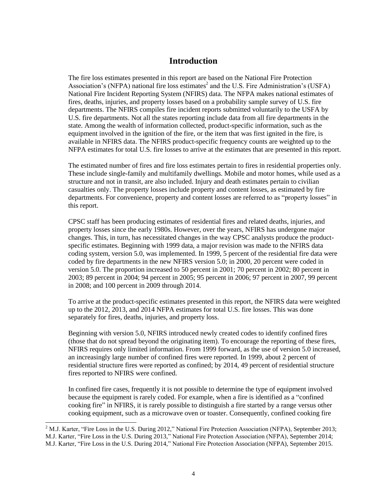## **Introduction**

The fire loss estimates presented in this report are based on the National Fire Protection Association's (NFPA) national fire loss estimates<sup>2</sup> and the U.S. Fire Administration's (USFA) National Fire Incident Reporting System (NFIRS) data. The NFPA makes national estimates of fires, deaths, injuries, and property losses based on a probability sample survey of U.S. fire departments. The NFIRS compiles fire incident reports submitted voluntarily to the USFA by U.S. fire departments. Not all the states reporting include data from all fire departments in the state. Among the wealth of information collected, product-specific information, such as the equipment involved in the ignition of the fire, or the item that was first ignited in the fire, is available in NFIRS data. The NFIRS product-specific frequency counts are weighted up to the NFPA estimates for total U.S. fire losses to arrive at the estimates that are presented in this report.

The estimated number of fires and fire loss estimates pertain to fires in residential properties only. These include single-family and multifamily dwellings. Mobile and motor homes, while used as a structure and not in transit, are also included. Injury and death estimates pertain to civilian casualties only. The property losses include property and content losses, as estimated by fire departments. For convenience, property and content losses are referred to as "property losses" in this report.

CPSC staff has been producing estimates of residential fires and related deaths, injuries, and property losses since the early 1980s. However, over the years, NFIRS has undergone major changes. This, in turn, has necessitated changes in the way CPSC analysts produce the productspecific estimates. Beginning with 1999 data, a major revision was made to the NFIRS data coding system, version 5.0, was implemented. In 1999, 5 percent of the residential fire data were coded by fire departments in the new NFIRS version 5.0; in 2000, 20 percent were coded in version 5.0. The proportion increased to 50 percent in 2001; 70 percent in 2002; 80 percent in 2003; 89 percent in 2004; 94 percent in 2005; 95 percent in 2006; 97 percent in 2007, 99 percent in 2008; and 100 percent in 2009 through 2014.

To arrive at the product-specific estimates presented in this report, the NFIRS data were weighted up to the 2012, 2013, and 2014 NFPA estimates for total U.S. fire losses. This was done separately for fires, deaths, injuries, and property loss.

Beginning with version 5.0, NFIRS introduced newly created codes to identify confined fires (those that do not spread beyond the originating item). To encourage the reporting of these fires, NFIRS requires only limited information. From 1999 forward, as the use of version 5.0 increased, an increasingly large number of confined fires were reported. In 1999, about 2 percent of residential structure fires were reported as confined; by 2014, 49 percent of residential structure fires reported to NFIRS were confined.

In confined fire cases, frequently it is not possible to determine the type of equipment involved because the equipment is rarely coded. For example, when a fire is identified as a "confined cooking fire" in NFIRS, it is rarely possible to distinguish a fire started by a range versus other cooking equipment, such as a microwave oven or toaster. Consequently, confined cooking fire

 $2$  M.J. Karter, "Fire Loss in the U.S. During 2012," National Fire Protection Association (NFPA), September 2013; M.J. Karter, "Fire Loss in the U.S. During 2013," National Fire Protection Association (NFPA), September 2014; M.J. Karter, "Fire Loss in the U.S. During 2014," National Fire Protection Association (NFPA), September 2015.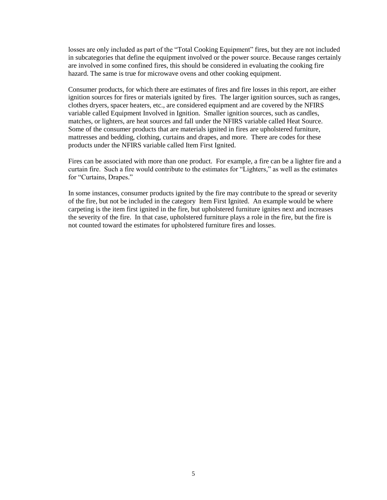losses are only included as part of the "Total Cooking Equipment" fires, but they are not included in subcategories that define the equipment involved or the power source. Because ranges certainly are involved in some confined fires, this should be considered in evaluating the cooking fire hazard. The same is true for microwave ovens and other cooking equipment.

Consumer products, for which there are estimates of fires and fire losses in this report, are either ignition sources for fires or materials ignited by fires. The larger ignition sources, such as ranges, clothes dryers, spacer heaters, etc., are considered equipment and are covered by the NFIRS variable called Equipment Involved in Ignition. Smaller ignition sources, such as candles, matches, or lighters, are heat sources and fall under the NFIRS variable called Heat Source. Some of the consumer products that are materials ignited in fires are upholstered furniture, mattresses and bedding, clothing, curtains and drapes, and more. There are codes for these products under the NFIRS variable called Item First Ignited.

Fires can be associated with more than one product. For example, a fire can be a lighter fire and a curtain fire. Such a fire would contribute to the estimates for "Lighters," as well as the estimates for "Curtains, Drapes."

In some instances, consumer products ignited by the fire may contribute to the spread or severity of the fire, but not be included in the category Item First Ignited. An example would be where carpeting is the item first ignited in the fire, but upholstered furniture ignites next and increases the severity of the fire. In that case, upholstered furniture plays a role in the fire, but the fire is not counted toward the estimates for upholstered furniture fires and losses.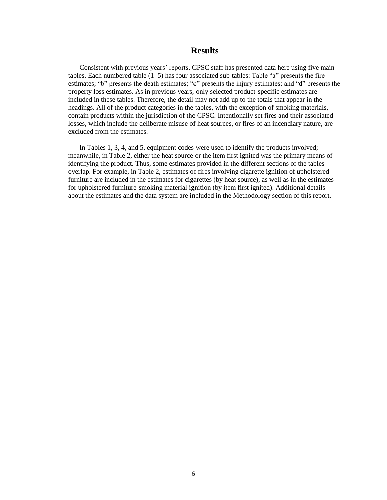#### **Results**

Consistent with previous years' reports, CPSC staff has presented data here using five main tables. Each numbered table  $(1–5)$  has four associated sub-tables: Table "a" presents the fire estimates; "b" presents the death estimates; "c" presents the injury estimates; and "d" presents the property loss estimates. As in previous years, only selected product-specific estimates are included in these tables. Therefore, the detail may not add up to the totals that appear in the headings. All of the product categories in the tables, with the exception of smoking materials, contain products within the jurisdiction of the CPSC. Intentionally set fires and their associated losses, which include the deliberate misuse of heat sources, or fires of an incendiary nature, are excluded from the estimates.

In Tables 1, 3, 4, and 5, equipment codes were used to identify the products involved; meanwhile, in Table 2, either the heat source or the item first ignited was the primary means of identifying the product. Thus, some estimates provided in the different sections of the tables overlap. For example, in Table 2, estimates of fires involving cigarette ignition of upholstered furniture are included in the estimates for cigarettes (by heat source), as well as in the estimates for upholstered furniture-smoking material ignition (by item first ignited). Additional details about the estimates and the data system are included in the Methodology section of this report.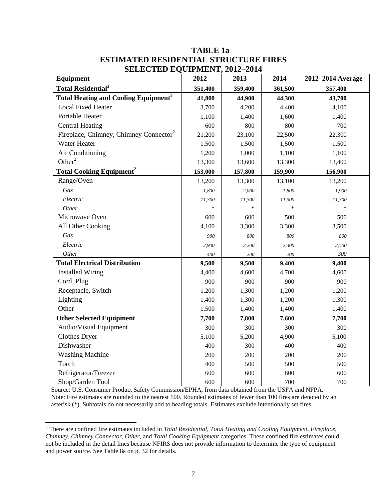| <b>Equipment</b>                                   | 2012    | 2013    | 2014    | 2012-2014 Average |
|----------------------------------------------------|---------|---------|---------|-------------------|
| <b>Total Residential<sup>3</sup></b>               | 351,400 | 359,400 | 361,500 | 357,400           |
| Total Heating and Cooling Equipment <sup>2</sup>   | 41,800  | 44,900  | 44,300  | 43,700            |
| <b>Local Fixed Heater</b>                          | 3,700   | 4,200   | 4,400   | 4,100             |
| Portable Heater                                    | 1,100   | 1,400   | 1,600   | 1,400             |
| <b>Central Heating</b>                             | 600     | 800     | 800     | 700               |
| Fireplace, Chimney, Chimney Connector <sup>2</sup> | 21,200  | 23,100  | 22,500  | 22,300            |
| Water Heater                                       | 1,500   | 1,500   | 1,500   | 1,500             |
| Air Conditioning                                   | 1,200   | 1,000   | 1,100   | 1,100             |
| Other <sup>2</sup>                                 | 13,300  | 13,600  | 13,300  | 13,400            |
| <b>Total Cooking Equipment<sup>2</sup></b>         | 153,000 | 157,800 | 159,900 | 156,900           |
| Range/Oven                                         | 13,200  | 13,300  | 13,100  | 13,200            |
| Gas                                                | 1,800   | 2,000   | 1,800   | 1,900             |
| Electric                                           | 11,300  | 11,300  | 11,300  | 11,300            |
| Other                                              | $\ast$  | *       | $\ast$  | $\ast$            |
| Microwave Oven                                     | 600     | 600     | 500     | 500               |
| All Other Cooking                                  | 4,100   | 3,300   | 3,300   | 3,500             |
| Gas                                                | 900     | 800     | 800     | 800               |
| Electric                                           | 2,900   | 2,200   | 2,300   | 2,500             |
| Other                                              | 400     | 200     | 200     | 300               |
| <b>Total Electrical Distribution</b>               | 9,500   | 9,500   | 9,400   | 9,400             |
| <b>Installed Wiring</b>                            | 4,400   | 4,600   | 4,700   | 4,600             |
| Cord, Plug                                         | 900     | 900     | 900     | 900               |
| Receptacle, Switch                                 | 1,200   | 1,300   | 1,200   | 1,200             |
| Lighting                                           | 1,400   | 1,300   | 1,200   | 1,300             |
| Other                                              | 1,500   | 1,400   | 1,400   | 1,400             |
| <b>Other Selected Equipment</b>                    | 7,700   | 7,800   | 7,600   | 7,700             |
| Audio/Visual Equipment                             | 300     | 300     | 300     | 300               |
| <b>Clothes Dryer</b>                               | 5,100   | 5,200   | 4,900   | 5,100             |
| Dishwasher                                         | 400     | 300     | 400     | 400               |
| <b>Washing Machine</b>                             | 200     | 200     | 200     | 200               |
| Torch                                              | 400     | 500     | 500     | 500               |
| Refrigerator/Freezer                               | 600     | 600     | 600     | 600               |
| Shop/Garden Tool                                   | 600     | 600     | 700     | 700               |

## **TABLE 1a ESTIMATED RESIDENTIAL STRUCTURE FIRES SELECTED EQUIPMENT, 2012–2014**

Source: U.S. Consumer Product Safety Commission/EPHA, from data obtained from the USFA and NFPA. Note: Fire estimates are rounded to the nearest 100. Rounded estimates of fewer than 100 fires are denoted by an asterisk (\*). Subtotals do not necessarily add to heading totals. Estimates exclude intentionally set fires.

<sup>&</sup>lt;sup>3</sup> There are confined fire estimates included in *Total Residential, Total Heating and Cooling Equipment, Fireplace, Chimney, Chimney Connector, Other*, and *Total Cooking Equipment* categories. These confined fire estimates could not be included in the detail lines because NFIRS does not provide information to determine the type of equipment and power source. See Table 8a on p. 32 for details.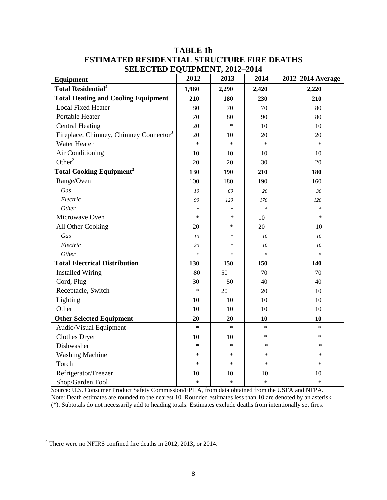| Equipment                                          | 2012   | 2013   | 2014   | 2012-2014 Average |
|----------------------------------------------------|--------|--------|--------|-------------------|
| <b>Total Residential<sup>4</sup></b>               | 1,960  | 2,290  | 2,420  | 2,220             |
| <b>Total Heating and Cooling Equipment</b>         | 210    | 180    | 230    | 210               |
| <b>Local Fixed Heater</b>                          | 80     | 70     | 70     | 80                |
| Portable Heater                                    | 70     | 80     | 90     | 80                |
| <b>Central Heating</b>                             | 20     | $\ast$ | 10     | 10                |
| Fireplace, Chimney, Chimney Connector <sup>3</sup> | 20     | 10     | 20     | 20                |
| Water Heater                                       | $\ast$ | $\ast$ | $\ast$ | $\ast$            |
| Air Conditioning                                   | 10     | 10     | 10     | 10                |
| Other $3$                                          | 20     | 20     | 30     | 20                |
| <b>Total Cooking Equipment<sup>3</sup></b>         | 130    | 190    | 210    | 180               |
| Range/Oven                                         | 100    | 180    | 190    | 160               |
| Gas                                                | 10     | 60     | 20     | 30                |
| Electric                                           | 90     | 120    | 170    | 120               |
| Other                                              | $\ast$ | *      | $\ast$ | *                 |
| Microwave Oven                                     | $\ast$ | $\ast$ | 10     | $\ast$            |
| All Other Cooking                                  | 20     | *      | 20     | 10                |
| Gas                                                | 10     | *      | 10     | 10                |
| Electric                                           | 20     | ×.     | 10     | 10                |
| Other                                              | $\ast$ |        | $\ast$ | $\ast$            |
| <b>Total Electrical Distribution</b>               | 130    | 150    | 150    | 140               |
| <b>Installed Wiring</b>                            | 80     | 50     | 70     | 70                |
| Cord, Plug                                         | 30     | 50     | 40     | 40                |
| Receptacle, Switch                                 | $\ast$ | 20     | 20     | 10                |
| Lighting                                           | 10     | 10     | 10     | 10                |
| Other                                              | 10     | 10     | 10     | 10                |
| <b>Other Selected Equipment</b>                    | 20     | 20     | 10     | 10                |
| Audio/Visual Equipment                             | $\ast$ | $\ast$ | $\ast$ | $\ast$            |
| <b>Clothes Dryer</b>                               | 10     | 10     | *      | *                 |
| Dishwasher                                         | $\ast$ | *      | *      | ∗                 |
| <b>Washing Machine</b>                             | ∗      | *      | $\ast$ | $\ast$            |
| Torch                                              | $\ast$ | $\ast$ | *      | *                 |
| Refrigerator/Freezer                               | 10     | 10     | 10     | 10                |
| Shop/Garden Tool                                   | $\ast$ | $\ast$ | $\ast$ | $\ast$            |

## **TABLE 1b ESTIMATED RESIDENTIAL STRUCTURE FIRE DEATHS SELECTED EQUIPMENT, 2012–2014**

Source: U.S. Consumer Product Safety Commission/EPHA, from data obtained from the USFA and NFPA. Note: Death estimates are rounded to the nearest 10. Rounded estimates less than 10 are denoted by an asterisk (\*). Subtotals do not necessarily add to heading totals. Estimates exclude deaths from intentionally set fires.

<sup>&</sup>lt;sup>4</sup> There were no NFIRS confined fire deaths in 2012, 2013, or 2014.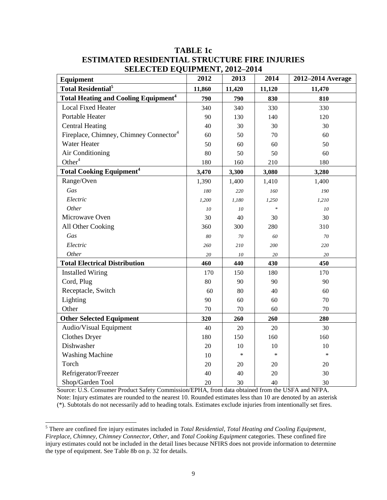| Equipment                                              | 2012   | 2013   | 2014   | 2012-2014 Average |
|--------------------------------------------------------|--------|--------|--------|-------------------|
| <b>Total Residential</b> <sup>5</sup>                  | 11,860 | 11,420 | 11,120 | 11,470            |
| <b>Total Heating and Cooling Equipment<sup>4</sup></b> | 790    | 790    | 830    | 810               |
| <b>Local Fixed Heater</b>                              | 340    | 340    | 330    | 330               |
| Portable Heater                                        | 90     | 130    | 140    | 120               |
| <b>Central Heating</b>                                 | 40     | 30     | 30     | 30                |
| Fireplace, Chimney, Chimney Connector <sup>4</sup>     | 60     | 50     | 70     | 60                |
| Water Heater                                           | 50     | 60     | 60     | 50                |
| Air Conditioning                                       | 80     | 50     | 50     | 60                |
| Other $4$                                              | 180    | 160    | 210    | 180               |
| <b>Total Cooking Equipment<sup>4</sup></b>             | 3,470  | 3,300  | 3,080  | 3,280             |
| Range/Oven                                             | 1,390  | 1,400  | 1,410  | 1,400             |
| Gas                                                    | 180    | 220    | 160    | 190               |
| Electric                                               | 1,200  | 1,180  | 1,250  | 1,210             |
| Other                                                  | 10     | 10     | $\ast$ | ${\it 10}$        |
| Microwave Oven                                         | 30     | 40     | 30     | 30                |
| All Other Cooking                                      | 360    | 300    | 280    | 310               |
| Gas                                                    | 80     | 70     | 60     | 70                |
| Electric                                               | 260    | 210    | 200    | 220               |
| Other                                                  | 20     | 10     | 20     | 20                |
| <b>Total Electrical Distribution</b>                   | 460    | 440    | 430    | 450               |
| <b>Installed Wiring</b>                                | 170    | 150    | 180    | 170               |
| Cord, Plug                                             | 80     | 90     | 90     | 90                |
| Receptacle, Switch                                     | 60     | 80     | 40     | 60                |
| Lighting                                               | 90     | 60     | 60     | 70                |
| Other                                                  | 70     | 70     | 60     | 70                |
| <b>Other Selected Equipment</b>                        | 320    | 260    | 260    | 280               |
| Audio/Visual Equipment                                 | 40     | 20     | 20     | 30                |
| <b>Clothes Dryer</b>                                   | 180    | 150    | 160    | 160               |
| Dishwasher                                             | 20     | 10     | 10     | 10                |
| <b>Washing Machine</b>                                 | 10     | $\ast$ | $\ast$ | $\ast$            |
| Torch                                                  | 20     | 20     | 20     | 20                |
| Refrigerator/Freezer                                   | 40     | 40     | 20     | 30                |
| Shop/Garden Tool                                       | 20     | 30     | 40     | 30                |

### **TABLE 1c ESTIMATED RESIDENTIAL STRUCTURE FIRE INJURIES SELECTED EQUIPMENT, 2012–2014**

Source: U.S. Consumer Product Safety Commission/EPHA, from data obtained from the USFA and NFPA. Note: Injury estimates are rounded to the nearest 10. Rounded estimates less than 10 are denoted by an asterisk (\*). Subtotals do not necessarily add to heading totals. Estimates exclude injuries from intentionally set fires.

<sup>5</sup> There are confined fire injury estimates included in *Total Residential*, *Total Heating and Cooling Equipment*, *Fireplace, Chimney, Chimney Connector*, *Other*, and *Total Cooking Equipment* categories. These confined fire injury estimates could not be included in the detail lines because NFIRS does not provide information to determine the type of equipment. See Table 8b on p. 32 for details.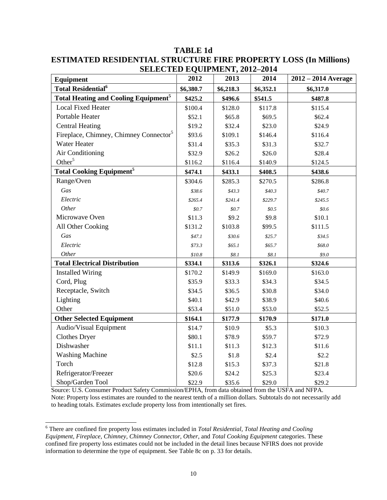| Equipment                                              | 2012      | ренестер ефон мект, 2012 2014<br>2013 | 2014      | $2012 - 2014$ Average |
|--------------------------------------------------------|-----------|---------------------------------------|-----------|-----------------------|
| <b>Total Residential</b> <sup>6</sup>                  | \$6,380.7 | \$6,218.3                             | \$6,352.1 | \$6,317.0             |
| <b>Total Heating and Cooling Equipment<sup>5</sup></b> | \$425.2   | \$496.6                               | \$541.5   | \$487.8               |
| <b>Local Fixed Heater</b>                              | \$100.4   | \$128.0                               | \$117.8   | \$115.4               |
| Portable Heater                                        | \$52.1    | \$65.8                                | \$69.5    | \$62.4                |
| <b>Central Heating</b>                                 | \$19.2    | \$32.4                                | \$23.0    | \$24.9                |
| Fireplace, Chimney, Chimney Connector <sup>5</sup>     | \$93.6    | \$109.1                               | \$146.4   | \$116.4               |
| <b>Water Heater</b>                                    | \$31.4    | \$35.3                                | \$31.3    | \$32.7                |
| Air Conditioning                                       | \$32.9    | \$26.2                                | \$26.0    | \$28.4                |
| Other <sup>5</sup>                                     | \$116.2   | \$116.4                               | \$140.9   | \$124.5               |
| <b>Total Cooking Equipment<sup>5</sup></b>             | \$474.1   | \$433.1                               | \$408.5   | \$438.6               |
| Range/Oven                                             | \$304.6   | \$285.3                               | \$270.5   | \$286.8               |
| Gas                                                    | \$38.6    | \$43.3\$                              | \$40.3    | \$40.7                |
| Electric                                               | \$265.4   | \$241.4                               | \$229.7   | \$245.5               |
| Other                                                  | \$0.7     | \$0.7\$                               | \$0.5\$   | \$0.6\$               |
| Microwave Oven                                         | \$11.3    | \$9.2                                 | \$9.8     | \$10.1                |
| All Other Cooking                                      | \$131.2   | \$103.8                               | \$99.5    | \$111.5               |
| Gas                                                    | \$47.1    | \$30.6                                | \$25.7    | \$34.5                |
| Electric                                               | \$73.3    | \$65.1                                | \$65.7    | \$68.0                |
| Other                                                  | \$10.8\$  | \$8.1                                 | \$8.1     | \$9.0                 |
| <b>Total Electrical Distribution</b>                   | \$334.1   | \$313.6                               | \$326.1   | \$324.6               |
| <b>Installed Wiring</b>                                | \$170.2   | \$149.9                               | \$169.0   | \$163.0               |
| Cord, Plug                                             | \$35.9    | \$33.3                                | \$34.3    | \$34.5                |
| Receptacle, Switch                                     | \$34.5    | \$36.5                                | \$30.8    | \$34.0                |
| Lighting                                               | \$40.1    | \$42.9                                | \$38.9    | \$40.6                |
| Other                                                  | \$53.4    | \$51.0                                | \$53.0    | \$52.5                |
| <b>Other Selected Equipment</b>                        | \$164.1   | \$177.9                               | \$170.9   | \$171.0               |
| Audio/Visual Equipment                                 | \$14.7    | \$10.9                                | \$5.3     | \$10.3                |
| <b>Clothes Dryer</b>                                   | \$80.1    | \$78.9                                | \$59.7    | \$72.9                |
| Dishwasher                                             | \$11.1    | \$11.3                                | \$12.3    | \$11.6                |
| <b>Washing Machine</b>                                 | \$2.5     | \$1.8                                 | \$2.4     | \$2.2                 |
| Torch                                                  | \$12.8    | \$15.3                                | \$37.3    | \$21.8                |
| Refrigerator/Freezer                                   | \$20.6    | \$24.2                                | \$25.3    | \$23.4                |
| Shop/Garden Tool                                       | \$22.9    | \$35.6                                | \$29.0    | \$29.2                |

**TABLE 1d ESTIMATED RESIDENTIAL STRUCTURE FIRE PROPERTY LOSS (In Millions) SELECTED EQUIPMENT, 2012–2014** 

Source: U.S. Consumer Product Safety Commission/EPHA, from data obtained from the USFA and NFPA. Note: Property loss estimates are rounded to the nearest tenth of a million dollars. Subtotals do not necessarily add to heading totals. Estimates exclude property loss from intentionally set fires.

<sup>6</sup> There are confined fire property loss estimates included in *Total Residential, Total Heating and Cooling Equipment, Fireplace, Chimney, Chimney Connector, Other*, and *Total Cooking Equipment* categories. These confined fire property loss estimates could not be included in the detail lines because NFIRS does not provide information to determine the type of equipment. See Table 8c on p. 33 for details.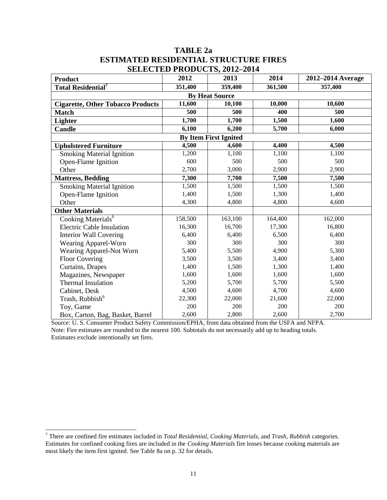#### **TABLE 2a ESTIMATED RESIDENTIAL STRUCTURE FIRES SELECTED PRODUCTS, 2012–2014**

| <b>Product</b>                           | 2012    | SEED TRODUCTS, 2012 2011<br>2013 | 2014    | 2012-2014 Average |  |  |  |
|------------------------------------------|---------|----------------------------------|---------|-------------------|--|--|--|
| Total Residential <sup>7</sup>           | 351,400 | 359,400                          | 361,500 | 357,400           |  |  |  |
|                                          |         | <b>By Heat Source</b>            |         |                   |  |  |  |
| <b>Cigarette, Other Tobacco Products</b> | 11,600  | 10,100                           | 10,000  | 10,600            |  |  |  |
| <b>Match</b>                             | 500     | 500                              | 400     | 500               |  |  |  |
| Lighter                                  | 1,700   | 1,700                            | 1,500   | 1,600             |  |  |  |
| Candle                                   | 6,100   | 6,200                            | 5,700   | 6,000             |  |  |  |
| <b>By Item First Ignited</b>             |         |                                  |         |                   |  |  |  |
| <b>Upholstered Furniture</b>             | 4,500   | 4,600                            | 4,400   | 4,500             |  |  |  |
| <b>Smoking Material Ignition</b>         | 1,200   | 1,100                            | 1,100   | 1,100             |  |  |  |
| Open-Flame Ignition                      | 600     | 500                              | 500     | 500               |  |  |  |
| Other                                    | 2,700   | 3,000                            | 2,900   | 2,900             |  |  |  |
| <b>Mattress, Bedding</b>                 | 7,300   | 7,700                            | 7,500   | 7,500             |  |  |  |
| <b>Smoking Material Ignition</b>         | 1,500   | 1,500                            | 1,500   | 1,500             |  |  |  |
| Open-Flame Ignition                      | 1,400   | 1,500                            | 1,300   | 1,400             |  |  |  |
| Other                                    | 4,300   | 4,800                            | 4,800   | 4,600             |  |  |  |
| <b>Other Materials</b>                   |         |                                  |         |                   |  |  |  |
| Cooking Materials <sup>6</sup>           | 158,500 | 163,100                          | 164,400 | 162,000           |  |  |  |
| <b>Electric Cable Insulation</b>         | 16,300  | 16,700                           | 17,300  | 16,800            |  |  |  |
| <b>Interior Wall Covering</b>            | 6,400   | 6,400                            | 6,500   | 6,400             |  |  |  |
| Wearing Apparel-Worn                     | 300     | 300                              | 300     | 300               |  |  |  |
| Wearing Apparel-Not Worn                 | 5,400   | 5,500                            | 4,900   | 5,300             |  |  |  |
| <b>Floor Covering</b>                    | 3,500   | 3,500                            | 3,400   | 3,400             |  |  |  |
| Curtains, Drapes                         | 1,400   | 1,500                            | 1,300   | 1,400             |  |  |  |
| Magazines, Newspaper                     | 1,600   | 1,600                            | 1,600   | 1,600             |  |  |  |
| Thermal Insulation                       | 5,200   | 5,700                            | 5,700   | 5,500             |  |  |  |
| Cabinet, Desk                            | 4,500   | 4,600                            | 4,700   | 4,600             |  |  |  |
| Trash, Rubbish <sup>6</sup>              | 22,300  | 22,000                           | 21,600  | 22,000            |  |  |  |
| Toy, Game                                | 200     | 200                              | 200     | 200               |  |  |  |
| Box, Carton, Bag, Basket, Barrel         | 2,600   | 2,800                            | 2,600   | 2,700             |  |  |  |

Source: U. S. Consumer Product Safety Commission/EPHA, from data obtained from the USFA and NFPA. Note: Fire estimates are rounded to the nearest 100. Subtotals do not necessarily add up to heading totals. Estimates exclude intentionally set fires.

<sup>7</sup> There are confined fire estimates included in *Total Residential, Cooking Materials,* and *Trash, Rubbish* categories. Estimates for confined cooking fires are included in the *Cooking Materials* fire losses because cooking materials are most likely the item first ignited. See Table 8a on p. 32 for details.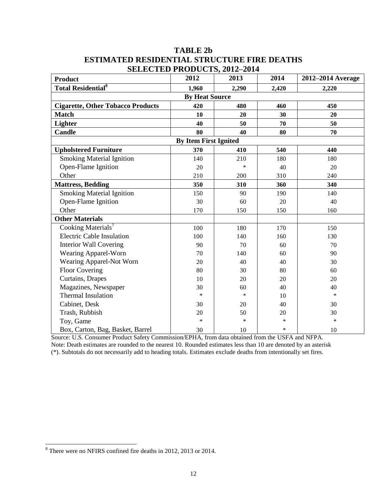## **TABLE 2b ESTIMATED RESIDENTIAL STRUCTURE FIRE DEATHS SELECTED PRODUCTS** 2012-2014

| <b>Product</b>                           | SELECTED I KODOCTS, 2012–2014<br>2012 | 2013   | 2014   | 2012-2014 Average |  |  |
|------------------------------------------|---------------------------------------|--------|--------|-------------------|--|--|
| <b>Total Residential</b> <sup>8</sup>    | 1,960                                 | 2,290  | 2,420  | 2,220             |  |  |
|                                          | <b>By Heat Source</b>                 |        |        |                   |  |  |
| <b>Cigarette, Other Tobacco Products</b> | 420                                   | 480    | 460    | 450               |  |  |
| <b>Match</b>                             | 10                                    | 20     | 30     | 20                |  |  |
| Lighter                                  | 40                                    | 50     | 70     | 50                |  |  |
| <b>Candle</b>                            | 80                                    | 40     | 80     | 70                |  |  |
| <b>By Item First Ignited</b>             |                                       |        |        |                   |  |  |
| <b>Upholstered Furniture</b>             | 370                                   | 410    | 540    | 440               |  |  |
| <b>Smoking Material Ignition</b>         | 140                                   | 210    | 180    | 180               |  |  |
| Open-Flame Ignition                      | 20                                    | *      | 40     | 20                |  |  |
| Other                                    | 210                                   | 200    | 310    | 240               |  |  |
| <b>Mattress, Bedding</b>                 | 350                                   | 310    | 360    | 340               |  |  |
| <b>Smoking Material Ignition</b>         | 150                                   | 90     | 190    | 140               |  |  |
| Open-Flame Ignition                      | 30                                    | 60     | 20     | 40                |  |  |
| Other                                    | 170                                   | 150    | 150    | 160               |  |  |
| <b>Other Materials</b>                   |                                       |        |        |                   |  |  |
| Cooking Materials <sup>7</sup>           | 100                                   | 180    | 170    | 150               |  |  |
| <b>Electric Cable Insulation</b>         | 100                                   | 140    | 160    | 130               |  |  |
| Interior Wall Covering                   | 90                                    | 70     | 60     | 70                |  |  |
| Wearing Apparel-Worn                     | 70                                    | 140    | 60     | 90                |  |  |
| Wearing Apparel-Not Worn                 | 20                                    | 40     | 40     | 30                |  |  |
| <b>Floor Covering</b>                    | 80                                    | 30     | 80     | 60                |  |  |
| Curtains, Drapes                         | 10                                    | 20     | 20     | 20                |  |  |
| Magazines, Newspaper                     | 30                                    | 60     | 40     | 40                |  |  |
| Thermal Insulation                       | $\ast$                                | $\ast$ | 10     | $\ast$            |  |  |
| Cabinet, Desk                            | 30                                    | 20     | 40     | 30                |  |  |
| Trash, Rubbish                           | 20                                    | 50     | 20     | 30                |  |  |
| Toy, Game                                | $\ast$                                | $\ast$ | $\ast$ | $\ast$            |  |  |
| Box, Carton, Bag, Basket, Barrel         | 30                                    | 10     | *      | 10                |  |  |

Source: U.S. Consumer Product Safety Commission/EPHA, from data obtained from the USFA and NFPA. Note: Death estimates are rounded to the nearest 10. Rounded estimates less than 10 are denoted by an asterisk (\*). Subtotals do not necessarily add to heading totals. Estimates exclude deaths from intentionally set fires.

<sup>8</sup> There were no NFIRS confined fire deaths in 2012, 2013 or 2014.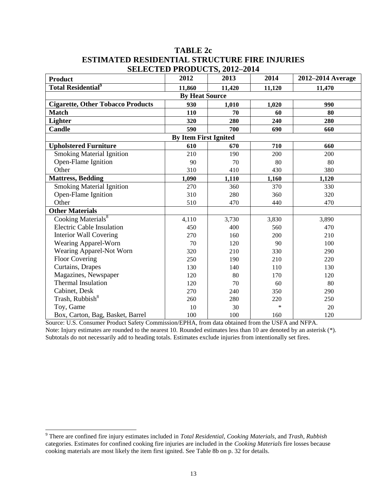### **TABLE 2c ESTIMATED RESIDENTIAL STRUCTURE FIRE INJURIES SELECTED PRODUCTS** 2012-2014

|                                          | SELECTED I KODOCIS, 2012–201 <del>1</del> |        |        |                   |
|------------------------------------------|-------------------------------------------|--------|--------|-------------------|
| <b>Product</b>                           | 2012                                      | 2013   | 2014   | 2012-2014 Average |
| <b>Total Residential</b> <sup>9</sup>    | 11,860                                    | 11,420 | 11,120 | 11,470            |
|                                          | <b>By Heat Source</b>                     |        |        |                   |
| <b>Cigarette, Other Tobacco Products</b> | 930                                       | 1,010  | 1,020  | 990               |
| <b>Match</b>                             | 110                                       | 70     | 60     | 80                |
| Lighter                                  | 320                                       | 280    | 240    | 280               |
| <b>Candle</b>                            | 590                                       | 700    | 690    | 660               |
|                                          | <b>By Item First Ignited</b>              |        |        |                   |
| <b>Upholstered Furniture</b>             | 610                                       | 670    | 710    | 660               |
| <b>Smoking Material Ignition</b>         | 210                                       | 190    | 200    | 200               |
| Open-Flame Ignition                      | 90                                        | 70     | 80     | 80                |
| Other                                    | 310                                       | 410    | 430    | 380               |
| <b>Mattress, Bedding</b>                 | 1,090                                     | 1,110  | 1,160  | 1,120             |
| <b>Smoking Material Ignition</b>         | 270                                       | 360    | 370    | 330               |
| Open-Flame Ignition                      | 310                                       | 280    | 360    | 320               |
| Other                                    | 510                                       | 470    | 440    | 470               |
| <b>Other Materials</b>                   |                                           |        |        |                   |
| Cooking Materials <sup>8</sup>           | 4,110                                     | 3,730  | 3,830  | 3,890             |
| <b>Electric Cable Insulation</b>         | 450                                       | 400    | 560    | 470               |
| <b>Interior Wall Covering</b>            | 270                                       | 160    | 200    | 210               |
| Wearing Apparel-Worn                     | 70                                        | 120    | 90     | 100               |
| Wearing Apparel-Not Worn                 | 320                                       | 210    | 330    | 290               |
| <b>Floor Covering</b>                    | 250                                       | 190    | 210    | 220               |
| Curtains, Drapes                         | 130                                       | 140    | 110    | 130               |
| Magazines, Newspaper                     | 120                                       | 80     | 170    | 120               |
| <b>Thermal Insulation</b>                | 120                                       | 70     | 60     | 80                |
| Cabinet, Desk                            | 270                                       | 240    | 350    | 290               |
| Trash, Rubbish <sup>8</sup>              | 260                                       | 280    | 220    | 250               |
| Toy, Game                                | 10                                        | 30     | $\ast$ | 20                |
| Box, Carton, Bag, Basket, Barrel         | 100                                       | 100    | 160    | 120               |

Source: U.S. Consumer Product Safety Commission/EPHA, from data obtained from the USFA and NFPA. Note: Injury estimates are rounded to the nearest 10. Rounded estimates less than 10 are denoted by an asterisk (\*). Subtotals do not necessarily add to heading totals. Estimates exclude injuries from intentionally set fires.

<sup>9</sup> There are confined fire injury estimates included in *Total Residential, Cooking Materials,* and *Trash, Rubbish* categories. Estimates for confined cooking fire injuries are included in the *Cooking Materials* fire losses because cooking materials are most likely the item first ignited. See Table 8b on p. 32 for details.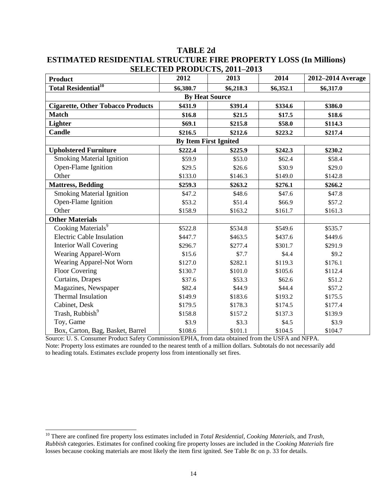|                                          |           | 9111-2019 1 NODOCT9, 2011-2019 |           |                   |  |  |  |
|------------------------------------------|-----------|--------------------------------|-----------|-------------------|--|--|--|
| <b>Product</b>                           | 2012      | 2013                           | 2014      | 2012-2014 Average |  |  |  |
| <b>Total Residential<sup>10</sup></b>    | \$6,380.7 | \$6,218.3                      | \$6,352.1 | \$6,317.0         |  |  |  |
|                                          |           | <b>By Heat Source</b>          |           |                   |  |  |  |
| <b>Cigarette, Other Tobacco Products</b> | \$431.9   | \$391.4                        | \$334.6   | \$386.0           |  |  |  |
| <b>Match</b>                             | \$16.8    | \$21.5                         | \$17.5    | \$18.6            |  |  |  |
| <b>Lighter</b>                           | \$69.1    | \$215.8                        | \$58.0    | \$114.3           |  |  |  |
| Candle                                   | \$216.5   | \$212.6                        | \$223.2   | \$217.4           |  |  |  |
| <b>By Item First Ignited</b>             |           |                                |           |                   |  |  |  |
| <b>Upholstered Furniture</b>             | \$222.4   | \$225.9                        | \$242.3   | \$230.2           |  |  |  |
| <b>Smoking Material Ignition</b>         | \$59.9    | \$53.0                         | \$62.4    | \$58.4            |  |  |  |
| Open-Flame Ignition                      | \$29.5    | \$26.6                         | \$30.9    | \$29.0            |  |  |  |
| Other                                    | \$133.0   | \$146.3                        | \$149.0   | \$142.8           |  |  |  |
| <b>Mattress, Bedding</b>                 | \$259.3   | \$263.2                        | \$276.1   | \$266.2           |  |  |  |
| <b>Smoking Material Ignition</b>         | \$47.2    | \$48.6                         | \$47.6    | \$47.8            |  |  |  |
| Open-Flame Ignition                      | \$53.2    | \$51.4                         | \$66.9    | \$57.2            |  |  |  |
| Other                                    | \$158.9   | \$163.2                        | \$161.7   | \$161.3           |  |  |  |
| <b>Other Materials</b>                   |           |                                |           |                   |  |  |  |
| Cooking Materials <sup>9</sup>           | \$522.8   | \$534.8                        | \$549.6   | \$535.7           |  |  |  |
| <b>Electric Cable Insulation</b>         | \$447.7   | \$463.5                        | \$437.6   | \$449.6           |  |  |  |
| <b>Interior Wall Covering</b>            | \$296.7   | \$277.4                        | \$301.7   | \$291.9           |  |  |  |
| Wearing Apparel-Worn                     | \$15.6    | \$7.7                          | \$4.4     | \$9.2             |  |  |  |
| Wearing Apparel-Not Worn                 | \$127.0   | \$282.1                        | \$119.3   | \$176.1           |  |  |  |
| <b>Floor Covering</b>                    | \$130.7   | \$101.0                        | \$105.6   | \$112.4           |  |  |  |
| Curtains, Drapes                         | \$37.6    | \$53.3                         | \$62.6    | \$51.2            |  |  |  |
| Magazines, Newspaper                     | \$82.4    | \$44.9                         | \$44.4    | \$57.2            |  |  |  |
| Thermal Insulation                       | \$149.9   | \$183.6                        | \$193.2   | \$175.5           |  |  |  |
| Cabinet, Desk                            | \$179.5   | \$178.3                        | \$174.5   | \$177.4           |  |  |  |
| Trash, Rubbish <sup>9</sup>              | \$158.8   | \$157.2                        | \$137.3   | \$139.9           |  |  |  |
| Toy, Game                                | \$3.9     | \$3.3                          | \$4.5     | \$3.9             |  |  |  |
| Box, Carton, Bag, Basket, Barrel         | \$108.6   | \$101.1                        | \$104.5   | \$104.7           |  |  |  |

#### **TABLE 2d ESTIMATED RESIDENTIAL STRUCTURE FIRE PROPERTY LOSS (In Millions) SELECTED PRODUCTS** 2011-2013

Source: U. S. Consumer Product Safety Commission/EPHA, from data obtained from the USFA and NFPA. Note: Property loss estimates are rounded to the nearest tenth of a million dollars. Subtotals do not necessarily add to heading totals. Estimates exclude property loss from intentionally set fires.

<sup>10</sup> There are confined fire property loss estimates included in *Total Residential, Cooking Materials,* and *Trash, Rubbish* categories. Estimates for confined cooking fire property losses are included in the *Cooking Materials* fire losses because cooking materials are most likely the item first ignited. See Table 8c on p. 33 for details.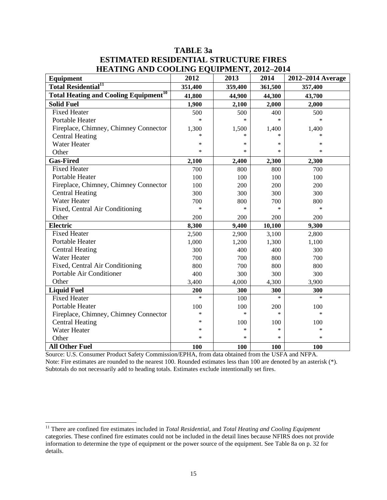## **TABLE 3a ESTIMATED RESIDENTIAL STRUCTURE FIRES HEATING AND COOLING EQUIPMENT, 2012-2014**

| HERTHING MND COOLING LOCH MILINI, 2012 201<br><b>Equipment</b> | 2012    | 2013    | 2014    | 2012-2014 Average |
|----------------------------------------------------------------|---------|---------|---------|-------------------|
| <b>Total Residential<sup>11</sup></b>                          | 351,400 | 359,400 | 361,500 | 357,400           |
| <b>Total Heating and Cooling Equipment<sup>10</sup></b>        | 41,800  | 44,900  | 44,300  | 43,700            |
| <b>Solid Fuel</b>                                              | 1,900   | 2,100   | 2,000   | 2,000             |
| <b>Fixed Heater</b>                                            | 500     | 500     | 400     | 500               |
| Portable Heater                                                | $\ast$  | $\ast$  | $\ast$  | $\ast$            |
| Fireplace, Chimney, Chimney Connector                          | 1,300   | 1,500   | 1,400   | 1,400             |
| <b>Central Heating</b>                                         | $\ast$  | $\ast$  | $\ast$  | $\ast$            |
| <b>Water Heater</b>                                            | $\ast$  | $\ast$  | $\ast$  | $\ast$            |
| Other                                                          | $\ast$  | $\ast$  | $\ast$  | $\ast$            |
| <b>Gas-Fired</b>                                               | 2,100   | 2,400   | 2,300   | 2,300             |
| <b>Fixed Heater</b>                                            | 700     | 800     | 800     | 700               |
| <b>Portable Heater</b>                                         | 100     | 100     | 100     | 100               |
| Fireplace, Chimney, Chimney Connector                          | 100     | 200     | 200     | 200               |
| <b>Central Heating</b>                                         | 300     | 300     | 300     | 300               |
| <b>Water Heater</b>                                            | 700     | 800     | 700     | 800               |
| Fixed, Central Air Conditioning                                | $\ast$  | $\ast$  | $\ast$  | $\ast$            |
| Other                                                          | 200     | 200     | 200     | 200               |
| <b>Electric</b>                                                | 8,300   | 9,400   | 10,100  | 9,300             |
| <b>Fixed Heater</b>                                            | 2,500   | 2,900   | 3,100   | 2,800             |
| Portable Heater                                                | 1,000   | 1,200   | 1,300   | 1,100             |
| <b>Central Heating</b>                                         | 300     | 400     | 400     | 300               |
| <b>Water Heater</b>                                            | 700     | 700     | 800     | 700               |
| Fixed, Central Air Conditioning                                | 800     | 700     | 800     | 800               |
| Portable Air Conditioner                                       | 400     | 300     | 300     | 300               |
| Other                                                          | 3,400   | 4,000   | 4,300   | 3,900             |
| <b>Liquid Fuel</b>                                             | 200     | 300     | 300     | 300               |
| <b>Fixed Heater</b>                                            | $\ast$  | 100     | $\ast$  | $\ast$            |
| Portable Heater                                                | 100     | 100     | 200     | 100               |
| Fireplace, Chimney, Chimney Connector                          | *       | $\ast$  | $\ast$  | $\ast$            |
| <b>Central Heating</b>                                         | $\ast$  | 100     | 100     | 100               |
| <b>Water Heater</b>                                            | *       | $\ast$  | $\ast$  | $\ast$            |
| Other                                                          | *       | $\ast$  | $\ast$  | $\ast$            |
| <b>All Other Fuel</b>                                          | 100     | 100     | 100     | 100               |

Source: U.S. Consumer Product Safety Commission/EPHA, from data obtained from the USFA and NFPA. Note: Fire estimates are rounded to the nearest 100. Rounded estimates less than 100 are denoted by an asterisk (\*). Subtotals do not necessarily add to heading totals. Estimates exclude intentionally set fires.

 $\overline{\phantom{a}}$ 

<sup>11</sup> There are confined fire estimates included in *Total Residential,* and *Total Heating and Cooling Equipment*  categories. These confined fire estimates could not be included in the detail lines because NFIRS does not provide information to determine the type of equipment or the power source of the equipment. See Table 8a on p. 32 for details.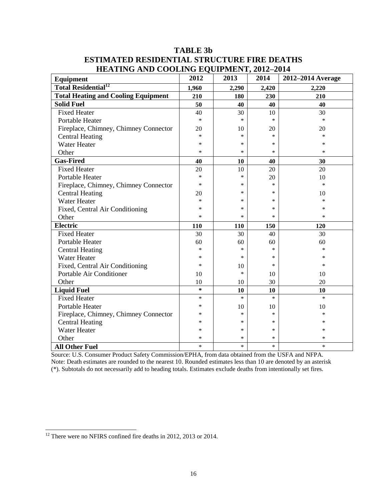| Equipment                                  | $\sim$ $\sim$ $\sim$ $\sim$ $\sim$ $\sim$ $\sim$<br>2012 | 2013   | 2014   | 2012-2014 Average |
|--------------------------------------------|----------------------------------------------------------|--------|--------|-------------------|
| <b>Total Residential<sup>12</sup></b>      | 1,960                                                    | 2,290  | 2,420  | 2,220             |
| <b>Total Heating and Cooling Equipment</b> | 210                                                      | 180    | 230    | 210               |
| <b>Solid Fuel</b>                          | 50                                                       | 40     | 40     | 40                |
| <b>Fixed Heater</b>                        | 40                                                       | 30     | 10     | 30                |
| Portable Heater                            | $\ast$                                                   | $\ast$ | $\ast$ | $\ast$            |
| Fireplace, Chimney, Chimney Connector      | 20                                                       | 10     | 20     | 20                |
| <b>Central Heating</b>                     | *                                                        | *      | $\ast$ | $\ast$            |
| <b>Water Heater</b>                        | *                                                        | $\ast$ | $\ast$ | *                 |
| Other                                      | $\ast$                                                   | $\ast$ | $\ast$ | *                 |
| <b>Gas-Fired</b>                           | 40                                                       | 10     | 40     | 30                |
| <b>Fixed Heater</b>                        | 20                                                       | 10     | 20     | 20                |
| <b>Portable Heater</b>                     | $\ast$                                                   | $\ast$ | 20     | 10                |
| Fireplace, Chimney, Chimney Connector      | $\ast$                                                   | *      | $\ast$ | $\ast$            |
| <b>Central Heating</b>                     | 20                                                       | *      | $\ast$ | 10                |
| <b>Water Heater</b>                        | *                                                        | *      | $\ast$ | $\ast$            |
| Fixed, Central Air Conditioning            | *                                                        | *      | $\ast$ | $\ast$            |
| Other                                      | $\ast$                                                   | $\ast$ | $\ast$ | $\ast$            |
| <b>Electric</b>                            | 110                                                      | 110    | 150    | 120               |
| <b>Fixed Heater</b>                        | 30                                                       | 30     | 40     | 30                |
| <b>Portable Heater</b>                     | 60                                                       | 60     | 60     | 60                |
| <b>Central Heating</b>                     | $\ast$                                                   | $\ast$ | $\ast$ | $\ast$            |
| <b>Water Heater</b>                        | *                                                        | $\ast$ | $\ast$ | $\ast$            |
| Fixed, Central Air Conditioning            | *                                                        | 10     | $\ast$ | *                 |
| Portable Air Conditioner                   | 10                                                       | $\ast$ | 10     | 10                |
| Other                                      | 10                                                       | 10     | 30     | 20                |
| <b>Liquid Fuel</b>                         | $\ast$                                                   | 10     | 10     | 10                |
| <b>Fixed Heater</b>                        | *                                                        | $\ast$ | $\ast$ | $\ast$            |
| Portable Heater                            | *                                                        | 10     | 10     | 10                |
| Fireplace, Chimney, Chimney Connector      | *                                                        | *      | $\ast$ | $\ast$            |
| <b>Central Heating</b>                     | *                                                        | *      | $\ast$ | *                 |
| <b>Water Heater</b>                        | *                                                        | *      | $\ast$ | $\ast$            |
| Other                                      | $\ast$                                                   | $\ast$ | $\ast$ | *                 |
| <b>All Other Fuel</b>                      | $\ast$                                                   | $\ast$ | $\ast$ | $\ast$            |

## **TABLE 3b ESTIMATED RESIDENTIAL STRUCTURE FIRE DEATHS HEATING AND COOLING EQUIPMENT, 2012–2014**

Source: U.S. Consumer Product Safety Commission/EPHA, from data obtained from the USFA and NFPA. Note: Death estimates are rounded to the nearest 10. Rounded estimates less than 10 are denoted by an asterisk (\*). Subtotals do not necessarily add to heading totals. Estimates exclude deaths from intentionally set fires.

 $12$  There were no NFIRS confined fire deaths in 2012, 2013 or 2014.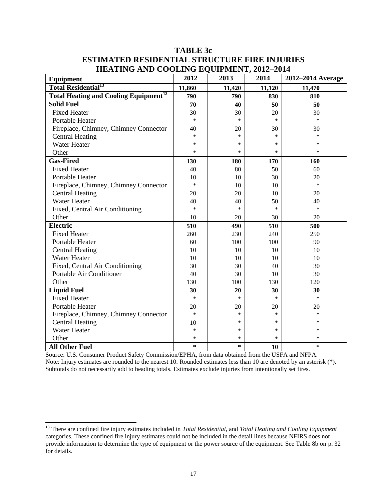| <b>TABLE 3c</b>                                      |
|------------------------------------------------------|
| <b>ESTIMATED RESIDENTIAL STRUCTURE FIRE INJURIES</b> |
| <b>HEATING AND COOLING EQUIPMENT, 2012-2014</b>      |

| Equipment                                               | 2012   | 2013   | 2014   | 2012-2014 Average |
|---------------------------------------------------------|--------|--------|--------|-------------------|
| <b>Total Residential<sup>13</sup></b>                   | 11,860 | 11,420 | 11,120 | 11,470            |
| <b>Total Heating and Cooling Equipment<sup>12</sup></b> | 790    | 790    | 830    | 810               |
| <b>Solid Fuel</b>                                       | 70     | 40     | 50     | 50                |
| <b>Fixed Heater</b>                                     | 30     | 30     | 20     | 30                |
| Portable Heater                                         | $\ast$ | $\ast$ | $\ast$ | $\ast$            |
| Fireplace, Chimney, Chimney Connector                   | 40     | 20     | 30     | 30                |
| <b>Central Heating</b>                                  | $\ast$ | $\ast$ | $\ast$ | $\ast$            |
| <b>Water Heater</b>                                     | *      | *      | $\ast$ | $\ast$            |
| Other                                                   | *      | $\ast$ | $\ast$ | $\ast$            |
| <b>Gas-Fired</b>                                        | 130    | 180    | 170    | 160               |
| <b>Fixed Heater</b>                                     | 40     | 80     | 50     | 60                |
| <b>Portable Heater</b>                                  | 10     | 10     | 30     | 20                |
| Fireplace, Chimney, Chimney Connector                   | $\ast$ | 10     | 10     | $\ast$            |
| <b>Central Heating</b>                                  | 20     | 20     | 10     | 20                |
| <b>Water Heater</b>                                     | 40     | 40     | 50     | 40                |
| Fixed, Central Air Conditioning                         | *      | *      | $\ast$ | $\ast$            |
| Other                                                   | 10     | 20     | 30     | 20                |
| <b>Electric</b>                                         | 510    | 490    | 510    | 500               |
| <b>Fixed Heater</b>                                     | 260    | 230    | 240    | 250               |
| Portable Heater                                         | 60     | 100    | 100    | 90                |
| <b>Central Heating</b>                                  | 10     | 10     | 10     | 10                |
| <b>Water Heater</b>                                     | 10     | 10     | 10     | 10                |
| Fixed, Central Air Conditioning                         | 30     | 30     | 40     | 30                |
| Portable Air Conditioner                                | 40     | 30     | 10     | 30                |
| Other                                                   | 130    | 100    | 130    | 120               |
| <b>Liquid Fuel</b>                                      | 30     | 20     | 30     | 30                |
| <b>Fixed Heater</b>                                     | $\ast$ | $\ast$ | $\ast$ | $\ast$            |
| Portable Heater                                         | 20     | 20     | 20     | 20                |
| Fireplace, Chimney, Chimney Connector                   | $\ast$ | *      | $\ast$ | $\ast$            |
| <b>Central Heating</b>                                  | 10     | *      | $\ast$ | $\ast$            |
| <b>Water Heater</b>                                     | *      | *      | ∗      | *                 |
| Other                                                   | *      | *      | $\ast$ | $\ast$            |
| <b>All Other Fuel</b>                                   | *      | $\ast$ | 10     | *                 |

Source: U.S. Consumer Product Safety Commission/EPHA, from data obtained from the USFA and NFPA. Note: Injury estimates are rounded to the nearest 10. Rounded estimates less than 10 are denoted by an asterisk (\*). Subtotals do not necessarily add to heading totals. Estimates exclude injuries from intentionally set fires.

 $\overline{\phantom{a}}$ 

<sup>13</sup> There are confined fire injury estimates included in *Total Residential,* and *Total Heating and Cooling Equipment*  categories. These confined fire injury estimates could not be included in the detail lines because NFIRS does not provide information to determine the type of equipment or the power source of the equipment. See Table 8b on p. 32 for details.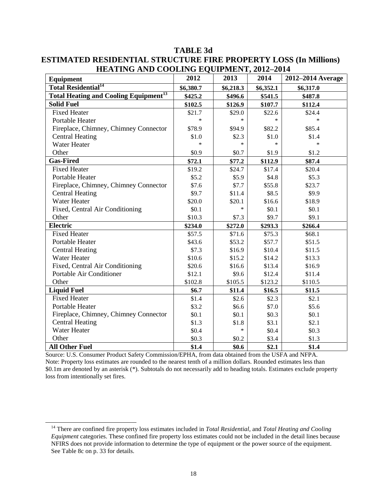| Equipment                                               | 2012      | 2013      | 2014      | 2012-2014 Average |
|---------------------------------------------------------|-----------|-----------|-----------|-------------------|
| <b>Total Residential<sup>14</sup></b>                   | \$6,380.7 | \$6,218.3 | \$6,352.1 | \$6,317.0         |
| <b>Total Heating and Cooling Equipment<sup>13</sup></b> | \$425.2   | \$496.6   | \$541.5   | \$487.8           |
| <b>Solid Fuel</b>                                       | \$102.5   | \$126.9   | \$107.7   | \$112.4           |
| <b>Fixed Heater</b>                                     | \$21.7    | \$29.0    | \$22.6    | \$24.4            |
| Portable Heater                                         | *         | $\ast$    | $\ast$    |                   |
| Fireplace, Chimney, Chimney Connector                   | \$78.9    | \$94.9    | \$82.2    | \$85.4            |
| <b>Central Heating</b>                                  | \$1.0     | \$2.3     | \$1.0     | \$1.4             |
| <b>Water Heater</b>                                     | $\ast$    | $\ast$    | $\ast$    | $\ast$            |
| Other                                                   | \$0.9     | \$0.7     | \$1.9     | \$1.2             |
| <b>Gas-Fired</b>                                        | \$72.1    | \$77.2    | \$112.9   | \$87.4            |
| <b>Fixed Heater</b>                                     | \$19.2    | \$24.7    | \$17.4    | \$20.4            |
| <b>Portable Heater</b>                                  | \$5.2     | \$5.9     | \$4.8\$   | \$5.3             |
| Fireplace, Chimney, Chimney Connector                   | \$7.6     | \$7.7     | \$55.8    | \$23.7            |
| <b>Central Heating</b>                                  | \$9.7     | \$11.4    | \$8.5     | \$9.9             |
| <b>Water Heater</b>                                     | \$20.0    | \$20.1    | \$16.6    | \$18.9            |
| Fixed, Central Air Conditioning                         | \$0.1     | $\ast$    | \$0.1     | \$0.1             |
| Other                                                   | \$10.3    | \$7.3     | \$9.7     | \$9.1             |
| <b>Electric</b>                                         | \$234.0   | \$272.0   | \$293.3   | \$266.4           |
| <b>Fixed Heater</b>                                     | \$57.5    | \$71.6    | \$75.3    | \$68.1            |
| Portable Heater                                         | \$43.6    | \$53.2    | \$57.7    | \$51.5            |
| <b>Central Heating</b>                                  | \$7.3     | \$16.9    | \$10.4    | \$11.5            |
| <b>Water Heater</b>                                     | \$10.6    | \$15.2    | \$14.2    | \$13.3            |
| Fixed, Central Air Conditioning                         | \$20.6    | \$16.6    | \$13.4    | \$16.9            |
| Portable Air Conditioner                                | \$12.1    | \$9.6     | \$12.4    | \$11.4            |
| Other                                                   | \$102.8   | \$105.5   | \$123.2   | \$110.5           |
| <b>Liquid Fuel</b>                                      | \$6.7     | \$11.4    | \$16.5    | \$11.5            |
| <b>Fixed Heater</b>                                     | \$1.4     | \$2.6     | \$2.3     | \$2.1             |
| <b>Portable Heater</b>                                  | \$3.2     | \$6.6     | \$7.0     | \$5.6             |
| Fireplace, Chimney, Chimney Connector                   | \$0.1     | \$0.1     | \$0.3\$   | \$0.1             |
| <b>Central Heating</b>                                  | \$1.3     | \$1.8     | \$3.1     | \$2.1             |
| <b>Water Heater</b>                                     | \$0.4     | $\ast$    | \$0.4     | \$0.3\$           |
| Other                                                   | \$0.3\$   | \$0.2     | \$3.4     | \$1.3             |
| <b>All Other Fuel</b>                                   | \$1.4     | \$0.6     | \$2.1     | \$1.4             |

**TABLE 3d ESTIMATED RESIDENTIAL STRUCTURE FIRE PROPERTY LOSS (In Millions) HEATING AND COOLING EQUIPMENT, 2012–2014**

Source: U.S. Consumer Product Safety Commission/EPHA, from data obtained from the USFA and NFPA. Note: Property loss estimates are rounded to the nearest tenth of a million dollars. Rounded estimates less than \$0.1m are denoted by an asterisk (\*). Subtotals do not necessarily add to heading totals. Estimates exclude property loss from intentionally set fires.

 $\overline{\phantom{a}}$ 

<sup>14</sup> There are confined fire property loss estimates included in *Total Residential,* and *Total Heating and Cooling Equipment* categories. These confined fire property loss estimates could not be included in the detail lines because NFIRS does not provide information to determine the type of equipment or the power source of the equipment. See Table 8c on p. 33 for details.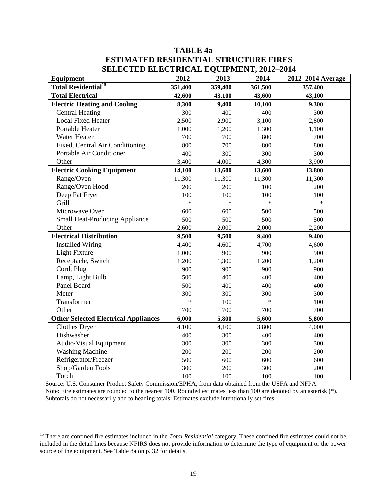## **TABLE 4a ESTIMATED RESIDENTIAL STRUCTURE FIRES SELECTED ELECTRICAL EQUIPMENT, 2012–2014**

| лынстыя ныстислы поситивнут, 2012—2011<br>Equipment | 2012    | 2013    | 2014    | 2012-2014 Average |
|-----------------------------------------------------|---------|---------|---------|-------------------|
| <b>Total Residential<sup>15</sup></b>               | 351,400 | 359,400 | 361,500 | 357,400           |
| <b>Total Electrical</b>                             | 42,600  | 43,100  | 43,600  | 43,100            |
| <b>Electric Heating and Cooling</b>                 | 8,300   | 9,400   | 10,100  | 9,300             |
| <b>Central Heating</b>                              | 300     | 400     | 400     | 300               |
| <b>Local Fixed Heater</b>                           | 2,500   | 2,900   | 3,100   | 2,800             |
| Portable Heater                                     | 1,000   | 1,200   | 1,300   | 1,100             |
| Water Heater                                        | 700     | 700     | 800     | 700               |
| Fixed, Central Air Conditioning                     | 800     | 700     | 800     | 800               |
| Portable Air Conditioner                            | 400     | 300     | 300     | 300               |
| Other                                               | 3,400   | 4,000   | 4,300   | 3,900             |
| <b>Electric Cooking Equipment</b>                   | 14,100  | 13,600  | 13,600  | 13,800            |
| Range/Oven                                          | 11,300  | 11,300  | 11,300  | 11,300            |
| Range/Oven Hood                                     | 200     | 200     | 100     | 200               |
| Deep Fat Fryer                                      | 100     | 100     | 100     | 100               |
| Grill                                               | $\ast$  | $\ast$  | $\ast$  | $\ast$            |
| Microwave Oven                                      | 600     | 600     | 500     | 500               |
| <b>Small Heat-Producing Appliance</b>               | 500     | 500     | 500     | 500               |
| Other                                               | 2,600   | 2,000   | 2,000   | 2,200             |
| <b>Electrical Distribution</b>                      | 9,500   | 9,500   | 9,400   | 9,400             |
| <b>Installed Wiring</b>                             | 4,400   | 4,600   | 4,700   | 4,600             |
| <b>Light Fixture</b>                                | 1,000   | 900     | 900     | 900               |
| Receptacle, Switch                                  | 1,200   | 1,300   | 1,200   | 1,200             |
| Cord, Plug                                          | 900     | 900     | 900     | 900               |
| Lamp, Light Bulb                                    | 500     | 400     | 400     | 400               |
| Panel Board                                         | 500     | 400     | 400     | 400               |
| Meter                                               | 300     | 300     | 300     | 300               |
| Transformer                                         | $\ast$  | 100     | $\ast$  | 100               |
| Other                                               | 700     | 700     | 700     | 700               |
| <b>Other Selected Electrical Appliances</b>         | 6,000   | 5,800   | 5,600   | 5,800             |
| <b>Clothes Dryer</b>                                | 4,100   | 4,100   | 3,800   | 4,000             |
| Dishwasher                                          | 400     | 300     | 400     | 400               |
| Audio/Visual Equipment                              | 300     | 300     | 300     | 300               |
| <b>Washing Machine</b>                              | 200     | 200     | 200     | 200               |
| Refrigerator/Freezer                                | 500     | 600     | 600     | 600               |
| Shop/Garden Tools                                   | 300     | 200     | 300     | 200               |
| Torch                                               | 100     | 100     | 100     | 100               |

Source: U.S. Consumer Product Safety Commission/EPHA, from data obtained from the USFA and NFPA. Note: Fire estimates are rounded to the nearest 100. Rounded estimates less than 100 are denoted by an asterisk (\*). Subtotals do not necessarily add to heading totals. Estimates exclude intentionally set fires.

<sup>&</sup>lt;sup>15</sup> There are confined fire estimates included in the *Total Residential* category. These confined fire estimates could not be included in the detail lines because NFIRS does not provide information to determine the type of equipment or the power source of the equipment. See Table 8a on p. 32 for details.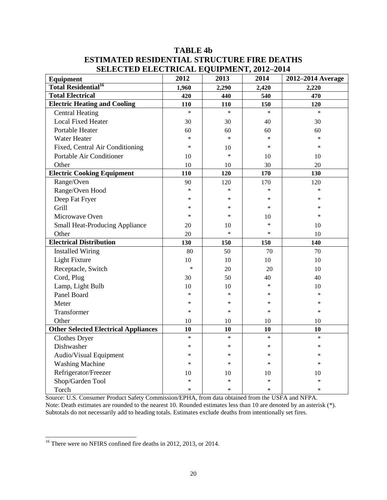## **TABLE 4b ESTIMATED RESIDENTIAL STRUCTURE FIRE DEATHS SELECTED ELECTRICAL EQUIPMENT, 2012–2014**

| SELECTED ELECTNICAL EQUITMENT, 2012 2014<br><b>Equipment</b> | 2012   | 2013   | 2014   | 2012-2014 Average |
|--------------------------------------------------------------|--------|--------|--------|-------------------|
| <b>Total Residential<sup>16</sup></b>                        | 1,960  | 2,290  | 2,420  | 2,220             |
| <b>Total Electrical</b>                                      | 420    | 440    | 540    | 470               |
| <b>Electric Heating and Cooling</b>                          | 110    | 110    | 150    | 120               |
| <b>Central Heating</b>                                       | $\ast$ | $\ast$ | $\ast$ | $\ast$            |
| <b>Local Fixed Heater</b>                                    | 30     | 30     | 40     | 30                |
| Portable Heater                                              | 60     | 60     | 60     | 60                |
| <b>Water Heater</b>                                          | $\ast$ | $\ast$ | $\ast$ | $\ast$            |
| Fixed, Central Air Conditioning                              | $\ast$ | 10     | $\ast$ | $\ast$            |
| Portable Air Conditioner                                     | 10     | $\ast$ | 10     | 10                |
| Other                                                        | 10     | 10     | 30     | 20                |
| <b>Electric Cooking Equipment</b>                            | 110    | 120    | 170    | 130               |
| Range/Oven                                                   | 90     | 120    | 170    | 120               |
| Range/Oven Hood                                              | $\ast$ | $\ast$ | $\ast$ | $\ast$            |
| Deep Fat Fryer                                               | $\ast$ | *      | $\ast$ | *                 |
| Grill                                                        | $\ast$ | $\ast$ | $\ast$ | $\ast$            |
| Microwave Oven                                               | $\ast$ | $\ast$ | 10     | $\ast$            |
| <b>Small Heat-Producing Appliance</b>                        | 20     | 10     | $\ast$ | 10                |
| Other                                                        | 20     | $\ast$ | $\ast$ | 10                |
| <b>Electrical Distribution</b>                               | 130    | 150    | 150    | 140               |
| <b>Installed Wiring</b>                                      | 80     | 50     | 70     | 70                |
| <b>Light Fixture</b>                                         | 10     | 10     | 10     | 10                |
| Receptacle, Switch                                           | $\ast$ | 20     | 20     | 10                |
| Cord, Plug                                                   | 30     | 50     | 40     | 40                |
| Lamp, Light Bulb                                             | 10     | 10     | $\ast$ | 10                |
| Panel Board                                                  | $\ast$ | $\ast$ | $\ast$ | *                 |
| Meter                                                        | $\ast$ | $\ast$ | $\ast$ | $\ast$            |
| Transformer                                                  | $\ast$ | $\ast$ | $\ast$ | $\ast$            |
| Other                                                        | 10     | 10     | $10\,$ | 10                |
| <b>Other Selected Electrical Appliances</b>                  | 10     | 10     | 10     | 10                |
| <b>Clothes Dryer</b>                                         | $\ast$ | $\ast$ | $\ast$ | $\ast$            |
| Dishwasher                                                   | $\ast$ | $\ast$ | $\ast$ | $\ast$            |
| Audio/Visual Equipment                                       | *      | ∗      | ∗      | *                 |
| <b>Washing Machine</b>                                       | *      | $\ast$ | $\ast$ | *                 |
| Refrigerator/Freezer                                         | 10     | 10     | 10     | 10                |
| Shop/Garden Tool                                             | $\ast$ | $\ast$ | $\ast$ | *                 |
| Torch                                                        | $\ast$ | $\ast$ | $\ast$ | $\ast$            |

Source: U.S. Consumer Product Safety Commission/EPHA, from data obtained from the USFA and NFPA. Note: Death estimates are rounded to the nearest 10. Rounded estimates less than 10 are denoted by an asterisk (\*). Subtotals do not necessarily add to heading totals. Estimates exclude deaths from intentionally set fires.

 $\overline{a}$  $16$  There were no NFIRS confined fire deaths in 2012, 2013, or 2014.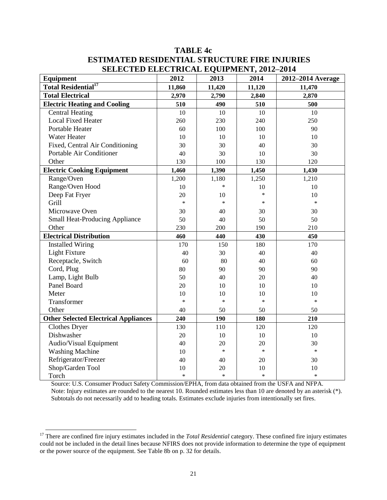## **TABLE 4c ESTIMATED RESIDENTIAL STRUCTURE FIRE INJURIES SELECTED ELECTRICAL EQUIPMENT, 2012–2014**

| <b>Equipment</b>                            | 2012   | 2013   | 2014   | 2012-2014 Average |
|---------------------------------------------|--------|--------|--------|-------------------|
| <b>Total Residential<sup>17</sup></b>       | 11,860 | 11,420 | 11,120 | 11,470            |
| <b>Total Electrical</b>                     | 2,970  | 2,790  | 2,840  | 2,870             |
| <b>Electric Heating and Cooling</b>         | 510    | 490    | 510    | 500               |
| <b>Central Heating</b>                      | 10     | 10     | 10     | 10                |
| <b>Local Fixed Heater</b>                   | 260    | 230    | 240    | 250               |
| Portable Heater                             | 60     | 100    | 100    | 90                |
| Water Heater                                | 10     | 10     | 10     | 10                |
| Fixed, Central Air Conditioning             | 30     | 30     | 40     | 30                |
| Portable Air Conditioner                    | 40     | 30     | 10     | 30                |
| Other                                       | 130    | 100    | 130    | 120               |
| <b>Electric Cooking Equipment</b>           | 1,460  | 1,390  | 1,450  | 1,430             |
| Range/Oven                                  | 1,200  | 1,180  | 1,250  | 1,210             |
| Range/Oven Hood                             | 10     | $\ast$ | 10     | 10                |
| Deep Fat Fryer                              | 20     | 10     | $\ast$ | 10                |
| Grill                                       | $\ast$ | $\ast$ | *      | $\ast$            |
| Microwave Oven                              | 30     | 40     | 30     | 30                |
| <b>Small Heat-Producing Appliance</b>       | 50     | 40     | 50     | 50                |
| Other                                       | 230    | 200    | 190    | 210               |
| <b>Electrical Distribution</b>              | 460    | 440    | 430    | 450               |
| <b>Installed Wiring</b>                     | 170    | 150    | 180    | 170               |
| Light Fixture                               | 40     | 30     | 40     | 40                |
| Receptacle, Switch                          | 60     | 80     | 40     | 60                |
| Cord, Plug                                  | 80     | 90     | 90     | 90                |
| Lamp, Light Bulb                            | 50     | 40     | 20     | 40                |
| Panel Board                                 | 20     | 10     | 10     | 10                |
| Meter                                       | 10     | 10     | 10     | 10                |
| Transformer                                 | $\ast$ | $\ast$ | $\ast$ | $\ast$            |
| Other                                       | 40     | 50     | 50     | 50                |
| <b>Other Selected Electrical Appliances</b> | 240    | 190    | 180    | 210               |
| Clothes Dryer                               | 130    | 110    | 120    | 120               |
| Dishwasher                                  | 20     | 10     | 10     | 10                |
| Audio/Visual Equipment                      | 40     | 20     | 20     | 30                |
| <b>Washing Machine</b>                      | 10     | $\ast$ | $\ast$ | $\ast$            |
| Refrigerator/Freezer                        | 40     | 40     | 20     | 30                |
| Shop/Garden Tool                            | 10     | 20     | 10     | 10                |
| Torch                                       | $\ast$ | $\ast$ | $\ast$ | $\ast$            |

Source: U.S. Consumer Product Safety Commission/EPHA, from data obtained from the USFA and NFPA. Note: Injury estimates are rounded to the nearest 10. Rounded estimates less than 10 are denoted by an asterisk (\*). Subtotals do not necessarily add to heading totals. Estimates exclude injuries from intentionally set fires.

<sup>&</sup>lt;sup>17</sup> There are confined fire injury estimates included in the *Total Residential* category. These confined fire injury estimates could not be included in the detail lines because NFIRS does not provide information to determine the type of equipment or the power source of the equipment. See Table 8b on p. 32 for details.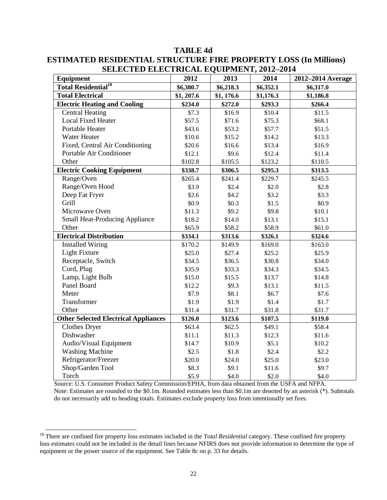| SELECTED ELECTNICAL EQUITMENT, 2012–2014<br>Equipment | 2012       | 2013      | 2014      | 2012-2014 Average |
|-------------------------------------------------------|------------|-----------|-----------|-------------------|
| <b>Total Residential<sup>18</sup></b>                 | \$6,380.7  | \$6,218.3 | \$6,352.1 | \$6,317.0         |
| <b>Total Electrical</b>                               | \$1, 207.6 | \$1,176.6 | \$1,176.3 | \$1,186.8         |
| <b>Electric Heating and Cooling</b>                   | \$234.0    | \$272.0   | \$293.3   | \$266.4           |
| <b>Central Heating</b>                                | \$7.3      | \$16.9    | \$10.4    | \$11.5            |
| <b>Local Fixed Heater</b>                             | \$57.5     | \$71.6    | \$75.3    | \$68.1            |
| Portable Heater                                       | \$43.6     | \$53.2    | \$57.7    | \$51.5            |
| <b>Water Heater</b>                                   | \$10.6     | \$15.2    | \$14.2    | \$13.3            |
| Fixed, Central Air Conditioning                       | \$20.6     | \$16.6    | \$13.4    | \$16.9            |
| Portable Air Conditioner                              | \$12.1     | \$9.6     | \$12.4    | \$11.4            |
| Other                                                 | \$102.8    | \$105.5   | \$123.2   | \$110.5           |
| <b>Electric Cooking Equipment</b>                     | \$338.7    | \$306.5   | \$295.3   | \$313.5           |
| Range/Oven                                            | \$265.4    | \$241.4   | \$229.7   | \$245.5           |
| Range/Oven Hood                                       | \$3.9      | \$2.4     | \$2.0     | \$2.8             |
| Deep Fat Fryer                                        | \$2.6      | \$4.2     | \$3.2     | \$3.3             |
| Grill                                                 | \$0.9      | \$0.3\$   | \$1.5     | \$0.9             |
| Microwave Oven                                        | \$11.3     | \$9.2     | \$9.8     | \$10.1            |
| <b>Small Heat-Producing Appliance</b>                 | \$18.2     | \$14.0    | \$13.1    | \$15.1            |
| Other                                                 | \$65.9     | \$58.2    | \$58.9    | \$61.0            |
| <b>Electrical Distribution</b>                        | \$334.1    | \$313.6   | \$326.1   | \$324.6           |
| <b>Installed Wiring</b>                               | \$170.2    | \$149.9   | \$169.0   | \$163.0           |
| <b>Light Fixture</b>                                  | \$25.0     | \$27.4    | \$25.2    | \$25.9            |
| Receptacle, Switch                                    | \$34.5     | \$36.5    | \$30.8    | \$34.0            |
| Cord, Plug                                            | \$35.9     | \$33.3    | \$34.3    | \$34.5            |
| Lamp, Light Bulb                                      | \$15.0     | \$15.5    | \$13.7    | \$14.8            |
| Panel Board                                           | \$12.2     | \$9.3     | \$13.1    | \$11.5            |
| Meter                                                 | \$7.9      | \$8.1     | \$6.7     | \$7.6             |
| Transformer                                           | \$1.9      | \$1.9     | \$1.4     | \$1.7             |
| Other                                                 | \$31.4     | \$31.7    | \$31.8    | \$31.7            |
| <b>Other Selected Electrical Appliances</b>           | \$126.0    | \$123.6   | \$107.5   | \$119.0           |
| <b>Clothes Dryer</b>                                  | \$63.4     | \$62.5    | \$49.1    | \$58.4            |
| Dishwasher                                            | \$11.1     | \$11.3    | \$12.3    | \$11.6            |
| Audio/Visual Equipment                                | \$14.7     | \$10.9    | \$5.1     | \$10.2            |
| <b>Washing Machine</b>                                | \$2.5      | \$1.8     | \$2.4     | \$2.2             |
| Refrigerator/Freezer                                  | \$20.0     | \$24.0    | \$25.0    | \$23.0            |
| Shop/Garden Tool                                      | \$8.3      | \$9.1     | \$11.6    | \$9.7             |
| Torch                                                 | \$5.9      | \$4.0     | \$2.0     | \$4.0             |

## **TABLE 4d ESTIMATED RESIDENTIAL STRUCTURE FIRE PROPERTY LOSS (In Millions) SELECTED ELECTRICAL EQUIPMENT, 2012-2014**

Source: U.S. Consumer Product Safety Commission/EPHA, from data obtained from the USFA and NFPA. Note: Estimates are rounded to the \$0.1m. Rounded estimates less than \$0.1m are denoted by an asterisk (\*). Subtotals do not necessarily add to heading totals. Estimates exclude property loss from intentionally set fires.

<sup>&</sup>lt;sup>18</sup> There are confined fire property loss estimates included in the *Total Residential* category. These confined fire property loss estimates could not be included in the detail lines because NFIRS does not provide information to determine the type of equipment or the power source of the equipment. See Table 8c on p. 33 for details.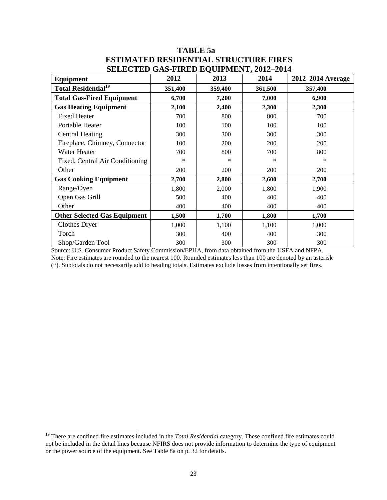## **TABLE 5a ESTIMATED RESIDENTIAL STRUCTURE FIRES SELECTED GAS-FIRED EQUIPMENT, 2012–2014**

| <u>DEERCTED GAD-TINED EQUITMENT, FUIT FUIT</u> |         |         |         |                   |
|------------------------------------------------|---------|---------|---------|-------------------|
| Equipment                                      | 2012    | 2013    | 2014    | 2012–2014 Average |
| <b>Total Residential<sup>19</sup></b>          | 351,400 | 359,400 | 361,500 | 357,400           |
| <b>Total Gas-Fired Equipment</b>               | 6,700   | 7,200   | 7,000   | 6,900             |
| <b>Gas Heating Equipment</b>                   | 2,100   | 2,400   | 2,300   | 2,300             |
| <b>Fixed Heater</b>                            | 700     | 800     | 800     | 700               |
| Portable Heater                                | 100     | 100     | 100     | 100               |
| <b>Central Heating</b>                         | 300     | 300     | 300     | 300               |
| Fireplace, Chimney, Connector                  | 100     | 200     | 200     | 200               |
| Water Heater                                   | 700     | 800     | 700     | 800               |
| Fixed, Central Air Conditioning                | $\ast$  | *       | ∗       | *                 |
| Other                                          | 200     | 200     | 200     | 200               |
| <b>Gas Cooking Equipment</b>                   | 2,700   | 2,800   | 2,600   | 2,700             |
| Range/Oven                                     | 1,800   | 2,000   | 1,800   | 1,900             |
| Open Gas Grill                                 | 500     | 400     | 400     | 400               |
| Other                                          | 400     | 400     | 400     | 400               |
| <b>Other Selected Gas Equipment</b>            | 1,500   | 1,700   | 1,800   | 1,700             |
| Clothes Dryer                                  | 1,000   | 1,100   | 1,100   | 1,000             |
| Torch                                          | 300     | 400     | 400     | 300               |
| Shop/Garden Tool                               | 300     | 300     | 300     | 300               |

Source: U.S. Consumer Product Safety Commission/EPHA, from data obtained from the USFA and NFPA. Note: Fire estimates are rounded to the nearest 100. Rounded estimates less than 100 are denoted by an asterisk (\*). Subtotals do not necessarily add to heading totals. Estimates exclude losses from intentionally set fires.

<sup>&</sup>lt;sup>19</sup> There are confined fire estimates included in the *Total Residential* category. These confined fire estimates could not be included in the detail lines because NFIRS does not provide information to determine the type of equipment or the power source of the equipment. See Table 8a on p. 32 for details.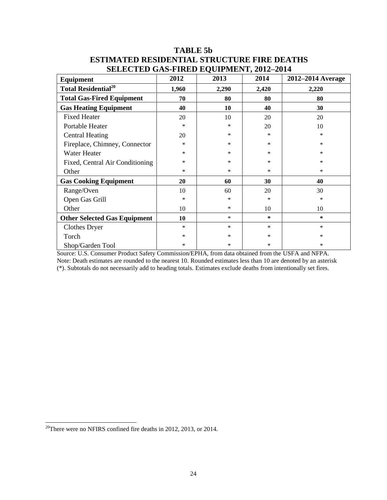| $\mu$                                  |        |        |        |                   |
|----------------------------------------|--------|--------|--------|-------------------|
| Equipment                              | 2012   | 2013   | 2014   | 2012–2014 Average |
| <b>Total Residential</b> <sup>20</sup> | 1,960  | 2,290  | 2,420  | 2,220             |
| <b>Total Gas-Fired Equipment</b>       | 70     | 80     | 80     | 80                |
| <b>Gas Heating Equipment</b>           | 40     | 10     | 40     | 30                |
| <b>Fixed Heater</b>                    | 20     | 10     | 20     | 20                |
| Portable Heater                        | *      | *      | 20     | 10                |
| <b>Central Heating</b>                 | 20     | $\ast$ | *      | ∗                 |
| Fireplace, Chimney, Connector          | $\ast$ | *      | *      | $\ast$            |
| Water Heater                           | ∗      | *      | *      | $\ast$            |
| Fixed, Central Air Conditioning        | $\ast$ | *      | *      | $\ast$            |
| Other                                  | *      | *      | $\ast$ | $\ast$            |
| <b>Gas Cooking Equipment</b>           | 20     | 60     | 30     | 40                |
| Range/Oven                             | 10     | 60     | 20     | 30                |
| Open Gas Grill                         | $\ast$ | *      | $\ast$ | $\ast$            |
| Other                                  | 10     | $\ast$ | 10     | 10                |
| <b>Other Selected Gas Equipment</b>    | 10     | $\ast$ | $\ast$ | $\ast$            |
| <b>Clothes Dryer</b>                   | $\ast$ | $\ast$ | $\ast$ | $\ast$            |
| Torch                                  | *      | $\ast$ | $\ast$ | $\ast$            |
| Shop/Garden Tool                       | *      | $\ast$ | $\ast$ | $\ast$            |

## **TABLE 5b ESTIMATED RESIDENTIAL STRUCTURE FIRE DEATHS SELECTED GAS-FIRED EQUIPMENT, 2012–2014**

Source: U.S. Consumer Product Safety Commission/EPHA, from data obtained from the USFA and NFPA. Note: Death estimates are rounded to the nearest 10. Rounded estimates less than 10 are denoted by an asterisk (\*). Subtotals do not necessarily add to heading totals. Estimates exclude deaths from intentionally set fires.

 $\overline{\phantom{a}}$ 

 $20^{\circ}$ There were no NFIRS confined fire deaths in 2012, 2013, or 2014.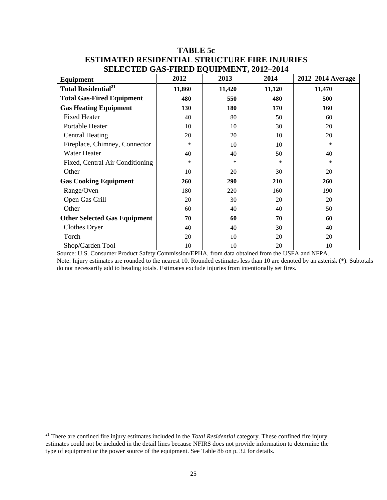| Equipment                              | 2012   | 2013   | 2014   | 2012–2014 Average |
|----------------------------------------|--------|--------|--------|-------------------|
| <b>Total Residential</b> <sup>21</sup> | 11,860 | 11,420 | 11,120 | 11,470            |
| <b>Total Gas-Fired Equipment</b>       | 480    | 550    | 480    | 500               |
| <b>Gas Heating Equipment</b>           | 130    | 180    | 170    | 160               |
| <b>Fixed Heater</b>                    | 40     | 80     | 50     | 60                |
| Portable Heater                        | 10     | 10     | 30     | 20                |
| <b>Central Heating</b>                 | 20     | 20     | 10     | 20                |
| Fireplace, Chimney, Connector          | $\ast$ | 10     | 10     | *                 |
| Water Heater                           | 40     | 40     | 50     | 40                |
| Fixed, Central Air Conditioning        | $\ast$ | *      | ∗      | *                 |
| Other                                  | 10     | 20     | 30     | 20                |
| <b>Gas Cooking Equipment</b>           | 260    | 290    | 210    | 260               |
| Range/Oven                             | 180    | 220    | 160    | 190               |
| Open Gas Grill                         | 20     | 30     | 20     | 20                |
| Other                                  | 60     | 40     | 40     | 50                |
| <b>Other Selected Gas Equipment</b>    | 70     | 60     | 70     | 60                |
| Clothes Dryer                          | 40     | 40     | 30     | 40                |
| Torch                                  | 20     | 10     | 20     | 20                |
| Shop/Garden Tool                       | 10     | 10     | 20     | 10                |

## **TABLE 5c ESTIMATED RESIDENTIAL STRUCTURE FIRE INJURIES SELECTED GAS-FIRED EQUIPMENT, 2012–2014**

Source: U.S. Consumer Product Safety Commission/EPHA, from data obtained from the USFA and NFPA.

Note: Injury estimates are rounded to the nearest 10. Rounded estimates less than 10 are denoted by an asterisk (\*). Subtotals do not necessarily add to heading totals. Estimates exclude injuries from intentionally set fires.

<sup>21</sup> There are confined fire injury estimates included in the *Total Residential* category. These confined fire injury estimates could not be included in the detail lines because NFIRS does not provide information to determine the type of equipment or the power source of the equipment. See Table 8b on p. 32 for details.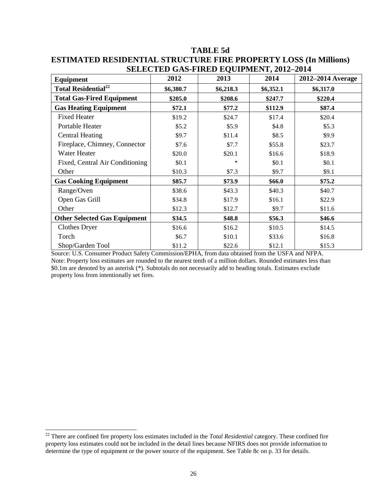|                                        |           | SELECTED GAS-FINED EQUILMENT, 2012–2014 |           |                   |
|----------------------------------------|-----------|-----------------------------------------|-----------|-------------------|
| Equipment                              | 2012      | 2013                                    | 2014      | 2012–2014 Average |
| <b>Total Residential</b> <sup>22</sup> | \$6,380.7 | \$6,218.3                               | \$6,352.1 | \$6,317.0         |
| <b>Total Gas-Fired Equipment</b>       | \$205.0   | \$208.6                                 | \$247.7   | \$220.4           |
| <b>Gas Heating Equipment</b>           | \$72.1    | \$77.2                                  | \$112.9   | \$87.4            |
| <b>Fixed Heater</b>                    | \$19.2    | \$24.7                                  | \$17.4    | \$20.4            |
| Portable Heater                        | \$5.2\$   | \$5.9                                   | \$4.8     | \$5.3\$           |
| <b>Central Heating</b>                 | \$9.7     | \$11.4                                  | \$8.5     | \$9.9             |
| Fireplace, Chimney, Connector          | \$7.6     | \$7.7                                   | \$55.8    | \$23.7            |
| Water Heater                           | \$20.0    | \$20.1                                  | \$16.6    | \$18.9            |
| Fixed, Central Air Conditioning        | \$0.1     | ∗                                       | \$0.1     | \$0.1             |
| Other                                  | \$10.3    | \$7.3                                   | \$9.7     | \$9.1             |
| <b>Gas Cooking Equipment</b>           | \$85.7    | \$73.9                                  | \$66.0    | \$75.2            |
| Range/Oven                             | \$38.6    | \$43.3                                  | \$40.3    | \$40.7            |
| Open Gas Grill                         | \$34.8    | \$17.9                                  | \$16.1    | \$22.9            |
| Other                                  | \$12.3    | \$12.7                                  | \$9.7     | \$11.6            |
| <b>Other Selected Gas Equipment</b>    | \$34.5    | \$48.8                                  | \$56.3    | \$46.6            |
| <b>Clothes Dryer</b>                   | \$16.6    | \$16.2                                  | \$10.5    | \$14.5            |
| Torch                                  | \$6.7     | \$10.1                                  | \$33.6    | \$16.8            |
| Shop/Garden Tool                       | \$11.2    | \$22.6                                  | \$12.1    | \$15.3            |

## **TABLE 5d ESTIMATED RESIDENTIAL STRUCTURE FIRE PROPERTY LOSS (In Millions) SELECTED GAS-FIRED EQUIPMENT, 2012–2014**

Source: U.S. Consumer Product Safety Commission/EPHA, from data obtained from the USFA and NFPA. Note: Property loss estimates are rounded to the nearest tenth of a million dollars. Rounded estimates less than \$0.1m are denoted by an asterisk (\*). Subtotals do not necessarily add to heading totals. Estimates exclude property loss from intentionally set fires.

<sup>22</sup> There are confined fire property loss estimates included in the *Total Residential* category. These confined fire property loss estimates could not be included in the detail lines because NFIRS does not provide information to determine the type of equipment or the power source of the equipment. See Table 8c on p. 33 for details.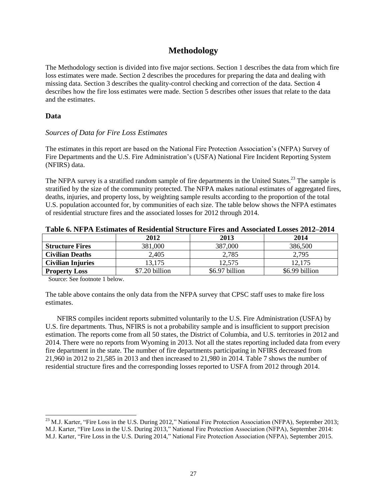## **Methodology**

The Methodology section is divided into five major sections. Section 1 describes the data from which fire loss estimates were made. Section 2 describes the procedures for preparing the data and dealing with missing data. Section 3 describes the quality-control checking and correction of the data. Section 4 describes how the fire loss estimates were made. Section 5 describes other issues that relate to the data and the estimates.

#### **Data**

#### *Sources of Data for Fire Loss Estimates*

The estimates in this report are based on the National Fire Protection Association's (NFPA) Survey of Fire Departments and the U.S. Fire Administration's (USFA) National Fire Incident Reporting System (NFIRS) data.

The NFPA survey is a stratified random sample of fire departments in the United States.<sup>23</sup> The sample is stratified by the size of the community protected. The NFPA makes national estimates of aggregated fires, deaths, injuries, and property loss, by weighting sample results according to the proportion of the total U.S. population accounted for, by communities of each size. The table below shows the NFPA estimates of residential structure fires and the associated losses for 2012 through 2014.

| A WAXAY AYA A LA AJAYININIYYA YA ANYANYINININI MWA MUVULU A NA WA WINA LAMAYO YINYO WA AJAMAYO WA TARA WA TA |                |                |                |  |  |  |
|--------------------------------------------------------------------------------------------------------------|----------------|----------------|----------------|--|--|--|
|                                                                                                              | 2012           | 2013           | 2014           |  |  |  |
| <b>Structure Fires</b>                                                                                       | 381,000        | 387,000        | 386,500        |  |  |  |
| <b>Civilian Deaths</b>                                                                                       | 2,405          | 2,785          | 2,795          |  |  |  |
| <b>Civilian Injuries</b>                                                                                     | 13.175         | 12,575         | 12.175         |  |  |  |
| <b>Property Loss</b>                                                                                         | \$7.20 billion | \$6.97 billion | \$6.99 billion |  |  |  |

Source: See footnote 1 below.

 $\overline{\phantom{a}}$ 

The table above contains the only data from the NFPA survey that CPSC staff uses to make fire loss estimates.

NFIRS compiles incident reports submitted voluntarily to the U.S. Fire Administration (USFA) by U.S. fire departments. Thus, NFIRS is not a probability sample and is insufficient to support precision estimation. The reports come from all 50 states, the District of Columbia, and U.S. territories in 2012 and 2014. There were no reports from Wyoming in 2013. Not all the states reporting included data from every fire department in the state. The number of fire departments participating in NFIRS decreased from 21,960 in 2012 to 21,585 in 2013 and then increased to 21,980 in 2014. Table 7 shows the number of residential structure fires and the corresponding losses reported to USFA from 2012 through 2014.

 $^{23}$  M.J. Karter, "Fire Loss in the U.S. During 2012," National Fire Protection Association (NFPA), September 2013; M.J. Karter, "Fire Loss in the U.S. During 2013," National Fire Protection Association (NFPA), September 2014:

M.J. Karter, "Fire Loss in the U.S. During 2014," National Fire Protection Association (NFPA), September 2015.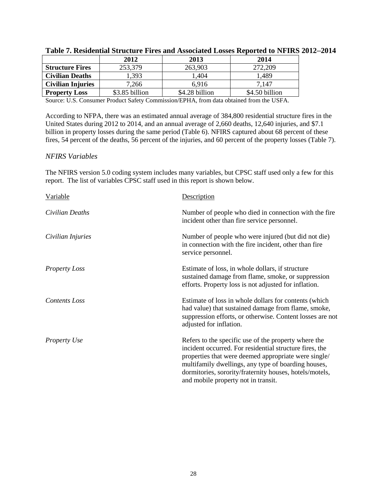|                          | 2012           | 2013           | 2014           |
|--------------------------|----------------|----------------|----------------|
| <b>Structure Fires</b>   | 253,379        | 263,903        | 272,209        |
| <b>Civilian Deaths</b>   | .393           | 1,404          | 489. ا         |
| <b>Civilian Injuries</b> | 7.266          | 6.916          | 7,147          |
| <b>Property Loss</b>     | \$3.85 billion | \$4.28 billion | \$4.50 billion |

| Table 7. Residential Structure Fires and Associated Losses Reported to NFIRS 2012–2014 |  |  |  |
|----------------------------------------------------------------------------------------|--|--|--|
|                                                                                        |  |  |  |

Source: U.S. Consumer Product Safety Commission/EPHA, from data obtained from the USFA.

According to NFPA, there was an estimated annual average of 384,800 residential structure fires in the United States during 2012 to 2014, and an annual average of 2,660 deaths, 12,640 injuries, and \$7.1 billion in property losses during the same period (Table 6). NFIRS captured about 68 percent of these fires, 54 percent of the deaths, 56 percent of the injuries, and 60 percent of the property losses (Table 7).

#### *NFIRS Variables*

The NFIRS version 5.0 coding system includes many variables, but CPSC staff used only a few for this report. The list of variables CPSC staff used in this report is shown below.

| Variable             | Description                                                                                                                                                                                                                                                                                                                      |
|----------------------|----------------------------------------------------------------------------------------------------------------------------------------------------------------------------------------------------------------------------------------------------------------------------------------------------------------------------------|
| Civilian Deaths      | Number of people who died in connection with the fire<br>incident other than fire service personnel.                                                                                                                                                                                                                             |
| Civilian Injuries    | Number of people who were injured (but did not die)<br>in connection with the fire incident, other than fire<br>service personnel.                                                                                                                                                                                               |
| <b>Property Loss</b> | Estimate of loss, in whole dollars, if structure<br>sustained damage from flame, smoke, or suppression<br>efforts. Property loss is not adjusted for inflation.                                                                                                                                                                  |
| <b>Contents</b> Loss | Estimate of loss in whole dollars for contents (which<br>had value) that sustained damage from flame, smoke,<br>suppression efforts, or otherwise. Content losses are not<br>adjusted for inflation.                                                                                                                             |
| Property Use         | Refers to the specific use of the property where the<br>incident occurred. For residential structure fires, the<br>properties that were deemed appropriate were single/<br>multifamily dwellings, any type of boarding houses,<br>dormitories, sorority/fraternity houses, hotels/motels,<br>and mobile property not in transit. |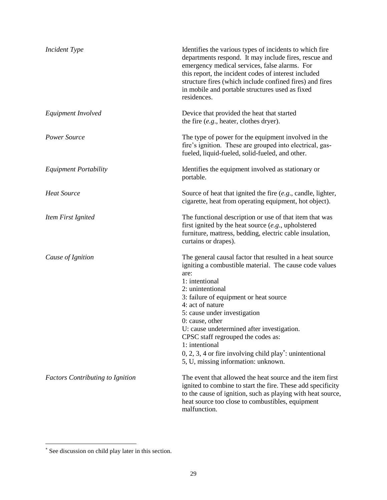| <b>Incident Type</b>                    | Identifies the various types of incidents to which fire<br>departments respond. It may include fires, rescue and<br>emergency medical services, false alarms. For<br>this report, the incident codes of interest included<br>structure fires (which include confined fires) and fires<br>in mobile and portable structures used as fixed<br>residences.                                                                                                                                                    |
|-----------------------------------------|------------------------------------------------------------------------------------------------------------------------------------------------------------------------------------------------------------------------------------------------------------------------------------------------------------------------------------------------------------------------------------------------------------------------------------------------------------------------------------------------------------|
| Equipment Involved                      | Device that provided the heat that started<br>the fire $(e.g.,)$ heater, clothes dryer).                                                                                                                                                                                                                                                                                                                                                                                                                   |
| <b>Power Source</b>                     | The type of power for the equipment involved in the<br>fire's ignition. These are grouped into electrical, gas-<br>fueled, liquid-fueled, solid-fueled, and other.                                                                                                                                                                                                                                                                                                                                         |
| <b>Equipment Portability</b>            | Identifies the equipment involved as stationary or<br>portable.                                                                                                                                                                                                                                                                                                                                                                                                                                            |
| <b>Heat Source</b>                      | Source of heat that ignited the fire $(e.g.,$ candle, lighter,<br>cigarette, heat from operating equipment, hot object).                                                                                                                                                                                                                                                                                                                                                                                   |
| Item First Ignited                      | The functional description or use of that item that was<br>first ignited by the heat source $(e.g.,$ upholstered<br>furniture, mattress, bedding, electric cable insulation,<br>curtains or drapes).                                                                                                                                                                                                                                                                                                       |
| Cause of Ignition                       | The general causal factor that resulted in a heat source<br>igniting a combustible material. The cause code values<br>are:<br>1: intentional<br>2: unintentional<br>3: failure of equipment or heat source<br>4: act of nature<br>5: cause under investigation<br>$0:$ cause, other<br>U: cause undetermined after investigation.<br>CPSC staff regrouped the codes as:<br>1: intentional<br>$0, 2, 3, 4$ or fire involving child play <sup>*</sup> : unintentional<br>5, U, missing information: unknown. |
| <b>Factors Contributing to Ignition</b> | The event that allowed the heat source and the item first<br>ignited to combine to start the fire. These add specificity<br>to the cause of ignition, such as playing with heat source,<br>heat source too close to combustibles, equipment<br>malfunction.                                                                                                                                                                                                                                                |

 See discussion on child play later in this section.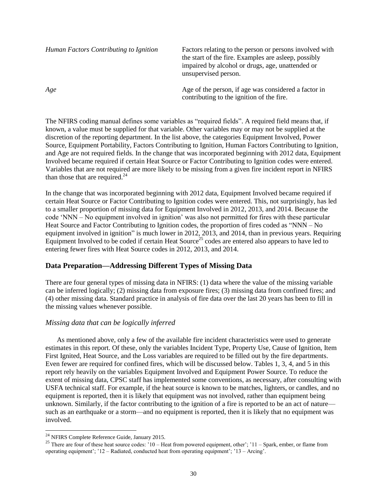| Human Factors Contributing to Ignition | Factors relating to the person or persons involved with<br>the start of the fire. Examples are asleep, possibly<br>impaired by alcohol or drugs, age, unattended or<br>unsupervised person. |
|----------------------------------------|---------------------------------------------------------------------------------------------------------------------------------------------------------------------------------------------|
| Age                                    | Age of the person, if age was considered a factor in<br>contributing to the ignition of the fire.                                                                                           |

The NFIRS coding manual defines some variables as "required fields". A required field means that, if known, a value must be supplied for that variable. Other variables may or may not be supplied at the discretion of the reporting department. In the list above, the categories Equipment Involved, Power Source, Equipment Portability, Factors Contributing to Ignition, Human Factors Contributing to Ignition, and Age are not required fields. In the change that was incorporated beginning with 2012 data, Equipment Involved became required if certain Heat Source or Factor Contributing to Ignition codes were entered. Variables that are not required are more likely to be missing from a given fire incident report in NFIRS than those that are required. $^{24}$ 

In the change that was incorporated beginning with 2012 data, Equipment Involved became required if certain Heat Source or Factor Contributing to Ignition codes were entered. This, not surprisingly, has led to a smaller proportion of missing data for Equipment Involved in 2012, 2013, and 2014. Because the code 'NNN – No equipment involved in ignition' was also not permitted for fires with these particular Heat Source and Factor Contributing to Ignition codes, the proportion of fires coded as "NNN – No equipment involved in ignition" is much lower in 2012, 2013, and 2014, than in previous years. Requiring Equipment Involved to be coded if certain Heat Source<sup>25</sup> codes are entered also appears to have led to entering fewer fires with Heat Source codes in 2012, 2013, and 2014.

## **Data Preparation—Addressing Different Types of Missing Data**

There are four general types of missing data in NFIRS: (1) data where the value of the missing variable can be inferred logically; (2) missing data from exposure fires; (3) missing data from confined fires; and (4) other missing data. Standard practice in analysis of fire data over the last 20 years has been to fill in the missing values whenever possible.

## *Missing data that can be logically inferred*

As mentioned above, only a few of the available fire incident characteristics were used to generate estimates in this report. Of these, only the variables Incident Type, Property Use, Cause of Ignition, Item First Ignited, Heat Source, and the Loss variables are required to be filled out by the fire departments. Even fewer are required for confined fires, which will be discussed below. Tables 1, 3, 4, and 5 in this report rely heavily on the variables Equipment Involved and Equipment Power Source. To reduce the extent of missing data, CPSC staff has implemented some conventions, as necessary, after consulting with USFA technical staff. For example, if the heat source is known to be matches, lighters, or candles, and no equipment is reported, then it is likely that equipment was not involved, rather than equipment being unknown. Similarly, if the factor contributing to the ignition of a fire is reported to be an act of nature such as an earthquake or a storm—and no equipment is reported, then it is likely that no equipment was involved.

 $^{24}$  NFIRS Complete Reference Guide, January 2015.

<sup>&</sup>lt;sup>25</sup> There are four of these heat source codes:  $10 -$  Heat from powered equipment, other';  $11 -$  Spark, ember, or flame from operating equipment'; '12 – Radiated, conducted heat from operating equipment'; '13 – Arcing'.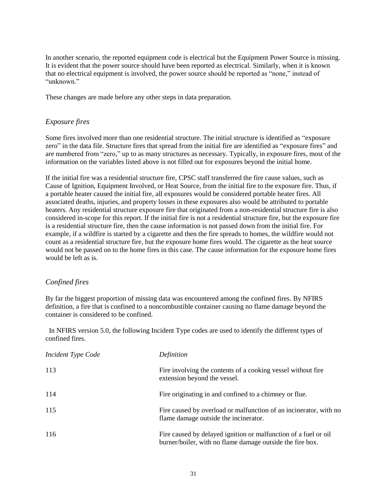In another scenario, the reported equipment code is electrical but the Equipment Power Source is missing. It is evident that the power source should have been reported as electrical. Similarly, when it is known that no electrical equipment is involved, the power source should be reported as "none," instead of "unknown."

These changes are made before any other steps in data preparation.

#### *Exposure fires*

Some fires involved more than one residential structure. The initial structure is identified as "exposure zero" in the data file. Structure fires that spread from the initial fire are identified as "exposure fires" and are numbered from "zero," up to as many structures as necessary. Typically, in exposure fires, most of the information on the variables listed above is not filled out for exposures beyond the initial home.

If the initial fire was a residential structure fire, CPSC staff transferred the fire cause values, such as Cause of Ignition, Equipment Involved, or Heat Source, from the initial fire to the exposure fire. Thus, if a portable heater caused the initial fire, all exposures would be considered portable heater fires. All associated deaths, injuries, and property losses in these exposures also would be attributed to portable heaters. Any residential structure exposure fire that originated from a non-residential structure fire is also considered in-scope for this report. If the initial fire is not a residential structure fire, but the exposure fire is a residential structure fire, then the cause information is not passed down from the initial fire. For example, if a wildfire is started by a cigarette and then the fire spreads to homes, the wildfire would not count as a residential structure fire, but the exposure home fires would. The cigarette as the heat source would not be passed on to the home fires in this case. The cause information for the exposure home fires would be left as is.

#### *Confined fires*

By far the biggest proportion of missing data was encountered among the confined fires. By NFIRS definition, a fire that is confined to a noncombustible container causing no flame damage beyond the container is considered to be confined.

 In NFIRS version 5.0, the following Incident Type codes are used to identify the different types of confined fires.

| <b>Incident Type Code</b> | Definition                                                                                                                   |
|---------------------------|------------------------------------------------------------------------------------------------------------------------------|
| 113                       | Fire involving the contents of a cooking vessel without fire<br>extension beyond the vessel.                                 |
| 114                       | Fire originating in and confined to a chimney or flue.                                                                       |
| 115                       | Fire caused by overload or malfunction of an incinerator, with no<br>flame damage outside the incinerator.                   |
| 116                       | Fire caused by delayed ignition or malfunction of a fuel or oil<br>burner/boiler, with no flame damage outside the fire box. |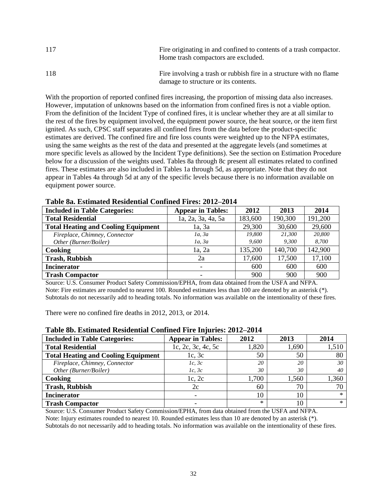| 117 | Fire originating in and confined to contents of a trash compactor.<br>Home trash compactors are excluded.   |
|-----|-------------------------------------------------------------------------------------------------------------|
| 118 | Fire involving a trash or rubbish fire in a structure with no flame<br>damage to structure or its contents. |

With the proportion of reported confined fires increasing, the proportion of missing data also increases. However, imputation of unknowns based on the information from confined fires is not a viable option. From the definition of the Incident Type of confined fires, it is unclear whether they are at all similar to the rest of the fires by equipment involved, the equipment power source, the heat source, or the item first ignited. As such, CPSC staff separates all confined fires from the data before the product-specific estimates are derived. The confined fire and fire loss counts were weighted up to the NFPA estimates, using the same weights as the rest of the data and presented at the aggregate levels (and sometimes at more specific levels as allowed by the Incident Type definitions). See the section on Estimation Procedure below for a discussion of the weights used. Tables 8a through 8c present all estimates related to confined fires. These estimates are also included in Tables 1a through 5d, as appropriate. Note that they do not appear in Tables 4a through 5d at any of the specific levels because there is no information available on equipment power source.

| <b>Included in Table Categories:</b>       | <b>Appear in Tables:</b> | 2012    | 2013    | 2014    |
|--------------------------------------------|--------------------------|---------|---------|---------|
| <b>Total Residential</b>                   | 1a, 2a, 3a, 4a, 5a       | 183,600 | 190,300 | 191,200 |
| <b>Total Heating and Cooling Equipment</b> | 1a, 3a                   | 29,300  | 30,600  | 29,600  |
| Fireplace, Chimney, Connector              | 1a, 3a                   | 19,800  | 21,300  | 20,800  |
| Other (Burner/Boiler)                      | 1a, 3a                   | 9,600   | 9.300   | 8.700   |
| Cooking                                    | 1a, 2a                   | 135,200 | 140,700 | 142,900 |
| <b>Trash, Rubbish</b>                      | 2a                       | 17,600  | 17,500  | 17,100  |
| <b>Incinerator</b>                         | -                        | 600     | 600     | 600     |
| <b>Trash Compactor</b>                     |                          | 900     | 900     | 900     |

**Table 8a. Estimated Residential Confined Fires: 2012–2014**

Source: U.S. Consumer Product Safety Commission/EPHA, from data obtained from the USFA and NFPA. Note: Fire estimates are rounded to nearest 100. Rounded estimates less than 100 are denoted by an asterisk  $(*)$ . Subtotals do not necessarily add to heading totals. No information was available on the intentionality of these fires.

There were no confined fire deaths in 2012, 2013, or 2014.

| таріс орг Дранцаса теріаснамі сонніцта і не інгатіся зотз тот і |                          |       |       |        |  |
|-----------------------------------------------------------------|--------------------------|-------|-------|--------|--|
| <b>Included in Table Categories:</b>                            | <b>Appear in Tables:</b> | 2012  | 2013  | 2014   |  |
| <b>Total Residential</b>                                        | 1c, 2c, 3c, 4c, 5c       | 1,820 | 1,690 | 1,510  |  |
| <b>Total Heating and Cooling Equipment</b>                      | 1c, 3c                   | 50    | 50    | 80     |  |
| Fireplace, Chimney, Connector                                   | 1c, 3c                   | 20    | 20    | 30     |  |
| Other (Burner/Boiler)                                           | 1c, 3c                   | 30    | 30    | 40     |  |
| Cooking                                                         | 1c, 2c                   | 1,700 | 1,560 | 1,360  |  |
| <b>Trash, Rubbish</b>                                           | 2c                       | 60    | 70    | 70     |  |
| <b>Incinerator</b>                                              |                          | 10    | 10    | $\ast$ |  |
| <b>Trash Compactor</b>                                          |                          | $*$   |       | $\ast$ |  |

#### **Table 8b. Estimated Residential Confined Fire Injuries: 2012–2014**

Source: U.S. Consumer Product Safety Commission/EPHA, from data obtained from the USFA and NFPA. Note: Injury estimates rounded to nearest 10. Rounded estimates less than 10 are denoted by an asterisk (\*). Subtotals do not necessarily add to heading totals. No information was available on the intentionality of these fires.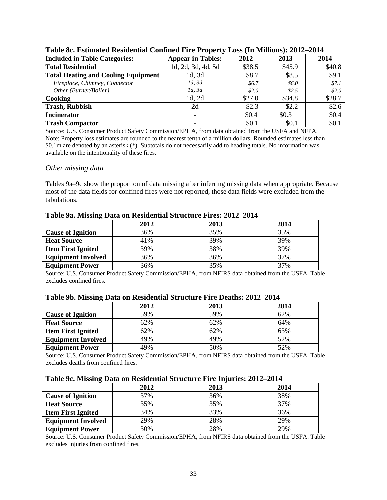| <b>Included in Table Categories:</b>       | <b>Appear in Tables:</b> | 2012   | 2013    | 2014   |
|--------------------------------------------|--------------------------|--------|---------|--------|
| <b>Total Residential</b>                   | 1d, 2d, 3d, 4d, 5d       | \$38.5 | \$45.9  | \$40.8 |
| <b>Total Heating and Cooling Equipment</b> | 1d, 3d                   | \$8.7  | \$8.5   | \$9.1  |
| Fireplace, Chimney, Connector              | 1d, 3d                   | \$6.7  | \$6.0   | \$7.1  |
| Other (Burner/Boiler)                      | 1d, 3d                   | \$2.0  | \$2.5   | \$2.0  |
| Cooking                                    | 1d, 2d                   | \$27.0 | \$34.8  | \$28.7 |
| <b>Trash, Rubbish</b>                      | 2d                       | \$2.3  | \$2.2   | \$2.6  |
| <b>Incinerator</b>                         |                          | \$0.4  | \$0.3\$ | \$0.4  |
| <b>Trash Compactor</b>                     |                          | \$0.1  | \$0.1   | \$0.1  |

#### **Table 8c. Estimated Residential Confined Fire Property Loss (In Millions): 2012–2014**

Source: U.S. Consumer Product Safety Commission/EPHA, from data obtained from the USFA and NFPA. Note: Property loss estimates are rounded to the nearest tenth of a million dollars. Rounded estimates less than \$0.1m are denoted by an asterisk (\*). Subtotals do not necessarily add to heading totals. No information was available on the intentionality of these fires.

#### *Other missing data*

Tables 9a–9c show the proportion of data missing after inferring missing data when appropriate. Because most of the data fields for confined fires were not reported, those data fields were excluded from the tabulations.

|                           | 2012 | 2013 | 2014 |
|---------------------------|------|------|------|
| <b>Cause of Ignition</b>  | 36%  | 35%  | 35%  |
| <b>Heat Source</b>        | 41%  | 39%  | 39%  |
| <b>Item First Ignited</b> | 39%  | 38%  | 39%  |
| <b>Equipment Involved</b> | 36%  | 36%  | 37%  |
| <b>Equipment Power</b>    | 36%  | 35%  | 37%  |

#### **Table 9a. Missing Data on Residential Structure Fires: 2012–2014**

Source: U.S. Consumer Product Safety Commission/EPHA, from NFIRS data obtained from the USFA. Table excludes confined fires.

|                           | 2012 | 2013 | 2014 |
|---------------------------|------|------|------|
| <b>Cause of Ignition</b>  | 59%  | 59%  | 62%  |
| <b>Heat Source</b>        | 62%  | 62%  | 64%  |
| <b>Item First Ignited</b> | 62%  | 62%  | 63%  |
| <b>Equipment Involved</b> | 49%  | 49%  | 52%  |
| <b>Equipment Power</b>    | 49%  | 50%  | 52%  |

#### **Table 9b. Missing Data on Residential Structure Fire Deaths: 2012–2014**

Source: U.S. Consumer Product Safety Commission/EPHA, from NFIRS data obtained from the USFA. Table excludes deaths from confined fires.

#### **Table 9c. Missing Data on Residential Structure Fire Injuries: 2012–2014**

|                           | 2012 | 2013 | 2014 |
|---------------------------|------|------|------|
| <b>Cause of Ignition</b>  | 37%  | 36%  | 38%  |
| <b>Heat Source</b>        | 35%  | 35%  | 37%  |
| <b>Item First Ignited</b> | 34%  | 33%  | 36%  |
| <b>Equipment Involved</b> | 29%  | 28%  | 29%  |
| <b>Equipment Power</b>    | 30%  | 28%  | 29%  |

Source: U.S. Consumer Product Safety Commission/EPHA, from NFIRS data obtained from the USFA. Table excludes injuries from confined fires.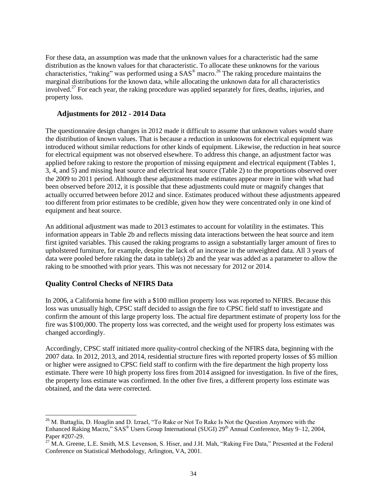For these data, an assumption was made that the unknown values for a characteristic had the same distribution as the known values for that characteristic. To allocate these unknowns for the various characteristics, "raking" was performed using a  $SAS^{\circ}$  macro.<sup>26</sup> The raking procedure maintains the marginal distributions for the known data, while allocating the unknown data for all characteristics involved.<sup>27</sup> For each year, the raking procedure was applied separately for fires, deaths, injuries, and property loss.

#### **Adjustments for 2012 - 2014 Data**

The questionnaire design changes in 2012 made it difficult to assume that unknown values would share the distribution of known values. That is because a reduction in unknowns for electrical equipment was introduced without similar reductions for other kinds of equipment. Likewise, the reduction in heat source for electrical equipment was not observed elsewhere. To address this change, an adjustment factor was applied before raking to restore the proportion of missing equipment and electrical equipment (Tables 1, 3, 4, and 5) and missing heat source and electrical heat source (Table 2) to the proportions observed over the 2009 to 2011 period. Although these adjustments made estimates appear more in line with what had been observed before 2012, it is possible that these adjustments could mute or magnify changes that actually occurred between before 2012 and since. Estimates produced without these adjustments appeared too different from prior estimates to be credible, given how they were concentrated only in one kind of equipment and heat source.

An additional adjustment was made to 2013 estimates to account for volatility in the estimates. This information appears in Table 2b and reflects missing data interactions between the heat source and item first ignited variables. This caused the raking programs to assign a substantially larger amount of fires to upholstered furniture, for example, despite the lack of an increase in the unweighted data. All 3 years of data were pooled before raking the data in table(s) 2b and the year was added as a parameter to allow the raking to be smoothed with prior years. This was not necessary for 2012 or 2014.

#### **Quality Control Checks of NFIRS Data**

 $\overline{\phantom{a}}$ 

In 2006, a California home fire with a \$100 million property loss was reported to NFIRS. Because this loss was unusually high, CPSC staff decided to assign the fire to CPSC field staff to investigate and confirm the amount of this large property loss. The actual fire department estimate of property loss for the fire was \$100,000. The property loss was corrected, and the weight used for property loss estimates was changed accordingly.

Accordingly, CPSC staff initiated more quality-control checking of the NFIRS data, beginning with the 2007 data. In 2012, 2013, and 2014, residential structure fires with reported property losses of \$5 million or higher were assigned to CPSC field staff to confirm with the fire department the high property loss estimate. There were 10 high property loss fires from 2014 assigned for investigation. In five of the fires, the property loss estimate was confirmed. In the other five fires, a different property loss estimate was obtained, and the data were corrected.

<sup>&</sup>lt;sup>26</sup> M. Battaglia, D. Hoaglin and D. Izrael, "To Rake or Not To Rake Is Not the Question Anymore with the Enhanced Raking Macro," SAS<sup>®</sup> Users Group International (SUGI) 29<sup>th</sup> Annual Conference, May 9–12, 2004, Paper #207-29.

<sup>&</sup>lt;sup>27</sup> M.A. Greene, L.E. Smith, M.S. Levenson, S. Hiser, and J.H. Mah, "Raking Fire Data," Presented at the Federal Conference on Statistical Methodology, Arlington, VA, 2001.